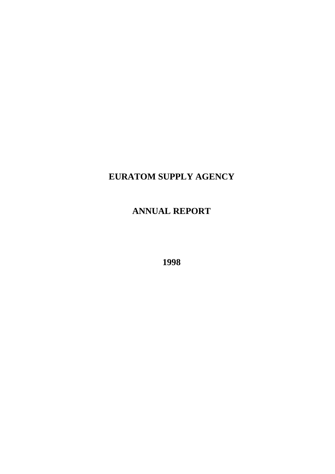# **EURATOM SUPPLY AGENCY**

# **ANNUAL REPORT**

**1998**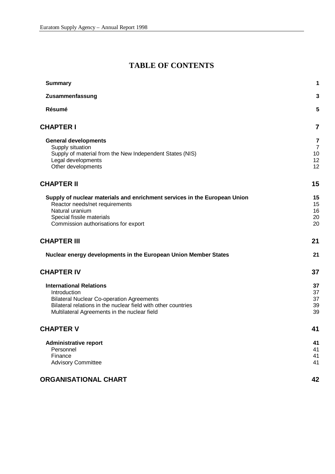# **TABLE OF CONTENTS**

| <b>Summary</b>                                                                                                    | 1              |
|-------------------------------------------------------------------------------------------------------------------|----------------|
| Zusammenfassung                                                                                                   | 3              |
| Résumé                                                                                                            | 5              |
| <b>CHAPTER I</b>                                                                                                  | $\overline{7}$ |
| <b>General developments</b>                                                                                       | 7              |
| Supply situation                                                                                                  | $\overline{7}$ |
| Supply of material from the New Independent States (NIS)                                                          | 10             |
| Legal developments<br>Other developments                                                                          | 12<br>12       |
| <b>CHAPTER II</b>                                                                                                 | 15             |
| Supply of nuclear materials and enrichment services in the European Union                                         | 15             |
| Reactor needs/net requirements                                                                                    | 15             |
| Natural uranium                                                                                                   | 16             |
| Special fissile materials                                                                                         | 20             |
| Commission authorisations for export                                                                              | 20             |
| <b>CHAPTER III</b>                                                                                                | 21             |
| Nuclear energy developments in the European Union Member States                                                   | 21             |
| <b>CHAPTER IV</b>                                                                                                 | 37             |
| <b>International Relations</b>                                                                                    | 37             |
| Introduction                                                                                                      | 37             |
| <b>Bilateral Nuclear Co-operation Agreements</b><br>Bilateral relations in the nuclear field with other countries | 37             |
| Multilateral Agreements in the nuclear field                                                                      | 39<br>39       |
| <b>CHAPTER V</b>                                                                                                  | 41             |
| <b>Administrative report</b>                                                                                      | 41             |
| Personnel                                                                                                         | 41             |
| Finance                                                                                                           | 41             |
| <b>Advisory Committee</b>                                                                                         | 41             |
| <b>ORGANISATIONAL CHART</b>                                                                                       | 42             |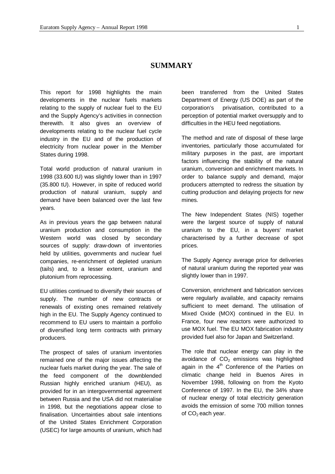# **SUMMARY**

This report for 1998 highlights the main developments in the nuclear fuels markets relating to the supply of nuclear fuel to the EU and the Supply Agency's activities in connection therewith. It also gives an overview of developments relating to the nuclear fuel cycle industry in the EU and of the production of electricity from nuclear power in the Member States during 1998.

Total world production of natural uranium in 1998 (33.600 tU) was slightly lower than in 1997 (35.800 tU). However, in spite of reduced world production of natural uranium, supply and demand have been balanced over the last few years.

As in previous years the gap between natural uranium production and consumption in the Western world was closed by secondary sources of supply: draw-down of inventories held by utilities, governments and nuclear fuel companies, re-enrichment of depleted uranium (tails) and, to a lesser extent, uranium and plutonium from reprocessing.

EU utilities continued to diversify their sources of supply. The number of new contracts or renewals of existing ones remained relatively high in the EU. The Supply Agency continued to recommend to EU users to maintain a portfolio of diversified long term contracts with primary producers.

The prospect of sales of uranium inventories remained one of the major issues affecting the nuclear fuels market during the year. The sale of the feed component of the downblended Russian highly enriched uranium (HEU), as provided for in an intergovernmental agreement between Russia and the USA did not materialise in 1998, but the negotiations appear close to finalisation. Uncertainties about sale intentions of the United States Enrichment Corporation (USEC) for large amounts of uranium, which had

been transferred from the United States Department of Energy (US DOE) as part of the corporation's privatisation, contributed to a perception of potential market oversupply and to difficulties in the HEU feed negotiations.

The method and rate of disposal of these large inventories, particularly those accumulated for military purposes in the past, are important factors influencing the stability of the natural uranium, conversion and enrichment markets. In order to balance supply and demand, major producers attempted to redress the situation by cutting production and delaying projects for new mines.

The New Independent States (NIS) together were the largest source of supply of natural uranium to the EU, in a buyers' market characterised by a further decrease of spot prices.

The Supply Agency average price for deliveries of natural uranium during the reported year was slightly lower than in 1997.

Conversion, enrichment and fabrication services were regularly available, and capacity remains sufficient to meet demand. The utilisation of Mixed Oxide (MOX) continued in the EU. In France, four new reactors were authorized to use MOX fuel. The EU MOX fabrication industry provided fuel also for Japan and Switzerland.

The role that nuclear energy can play in the avoidance of  $CO<sub>2</sub>$  emissions was highlighted again in the  $4<sup>th</sup>$  Conference of the Parties on climatic change held in Buenos Aires in November 1998, following on from the Kyoto Conference of 1997. In the EU, the 34% share of nuclear energy of total electricity generation avoids the emission of some 700 million tonnes of  $CO<sub>2</sub>$  each year.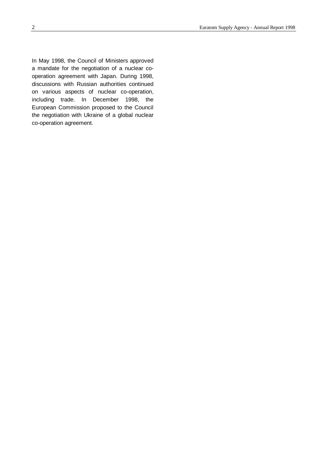In May 1998, the Council of Ministers approved a mandate for the negotiation of a nuclear cooperation agreement with Japan. During 1998, discussions with Russian authorities continued on various aspects of nuclear co-operation, including trade. In December 1998, the European Commission proposed to the Council the negotiation with Ukraine of a global nuclear co-operation agreement.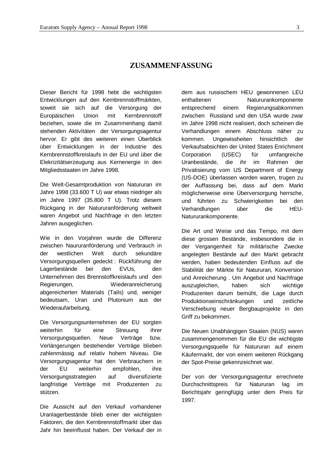# **ZUSAMMENFASSUNG**

Dieser Bericht für 1998 hebt die wichtigsten Entwicklungen auf den Kernbrennstoffmärkten, soweit sie sich auf die Versorgung der Europäischen Union mit Kernbrennstoff beziehen, sowie die im Zusammenhang damit stehenden Aktivitäten der Versorgungsagentur hervor. Er gibt des weiteren einen Überblick über Entwicklungen in der Industrie des Kernbrennstoffkreislaufs in der EU und über die Elekrizitätserzeugung aus Kernenergie in den Mitgliedsstaaten im Jahre 1998.

Die Welt-Gesamtproduktion von Natururan im Jahre 1998 (33.600 T U) war etwas niedriger als im Jahre 1997 (35.800 T U). Trotz diesem Rückgang in der Natururanförderung weltweit waren Angebot und Nachfrage in den letzten Jahren ausgeglichen.

Wie in den Vorjahren wurde die Differenz zwischen Naururanförderung und Verbrauch in der westlichen Welt durch sekundäre Versorgungsquellen gedeckt : Rückführung der Lagerbestände bei den EVUs, den Unternehmen des Brennstoffkreislaufs und den Regierungen, Wiederanreicherung abgereicherten Materials (Tails) und, weniger bedeutsam, Uran und Plutonium aus der Wiederaufarbeitung.

Die Versorgungsunternehmen der EU sorgten weiterhin für eine Streuung ihrer Versorgungsquellen. Neue Verträge bzw. Verlängerungen bestehender Verträge blieben zahlenmässig auf relativ hohem Niveau. Die Versorgungsagentur hat den Verbrauchern in der EU weiterhin empfohlen, ihre Versorgungsstrategien auf diversifizierte langfristige Verträge mit Produzenten zu stützen.

Die Aussicht auf den Verkauf vorhandener Uranlagerbestände blieb einer der wichtigsten Faktoren, die den Kernbrennstoffmarkt über das Jahr hin beeinflusst haben. Der Verkauf der in

dem aus russischem HEU gewonnenen LEU enthaltenen Natururankomponente entsprechend einem Regierungsabkommen zwischen Russland und den USA wurde zwar im Jahre 1998 nicht realisiert, doch scheinen die Verhandlungen einem Abschluss näher zu kommen. Ungewissheiten hinsichtlich der Verkaufsabsichten der United States Enrichment Corporation (USEC) für umfangreiche Uranbestände, die ihr im Rahmen der Privatisierung vom US Department of Energy (US-DOE) überlassen worden waren, trugen zu der Auffassung bei, dass auf dem Markt möglicherweise eine Überversorgung herrsche, und führten zu Schwierigkeiten bei den Verhandlungen über die HEU-Natururankomponente.

Die Art und Weise und das Tempo, mit dem diese grossen Bestände, insbesondere die in der Vergangenheit für militärische Zwecke angelegten Bestände auf den Markt gebracht werden, haben bedeutenden Einfluss auf die Stabilität der Märkte für Natururan, Konversion und Anreicherung . Um Angebot und Nachfrage auszugleichen, haben sich wichtige Produzenten darum bemüht, die Lage durch Produktionseinschränkungen und zeitliche Verschiebung neuer Bergbauprojekte in den Griff zu bekommen.

Die Neuen Unabhängigen Staaten (NUS) waren zusammengenommen für die EU die wichtigste Versorgungsquelle für Natururan auf einem Käufermarkt, der von einem weiteren Rückgang der Spot-Preise gekennzeichnet war.

Der von der Versorgungsagentur errechnete Durchschnittspreis für Natururan lag im Berichtsjahr geringfügig unter dem Preis für 1997.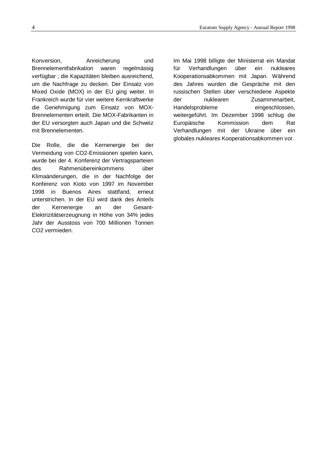Konversion, Anreicherung und Brennelementfabrikation waren regelmässig verfügbar ; die Kapazitäten bleiben ausreichend, um die Nachfrage zu decken. Der Einsatz von Mixed Oxide (MOX) in der EU ging weiter. In Frankreich wurde für vier weitere Kernkraftwerke die Genehmigung zum Einsatz von MOX-Brennelementen erteilt. Die MOX-Fabrikanten in der EU versorgten auch Japan und die Schweiz mit Brennelementen.

Die Rolle, die die Kernenergie bei der Vermeidung von CO2-Emissionen spielen kann, wurde bei der 4. Konferenz der Vertragsparteien des Rahmenübereinkommens über Klimaänderungen, die in der Nachfolge der Konferenz von Kioto von 1997 im November 1998 in Buenos Aires stattfand, erneut unterstrichen. In der EU wird dank des Anteils der Kernenergie an der Gesant-Elektrizitätserzeugnung in Höhe von 34% jedes Jahr der Ausstoss von 700 Millionen Tonnen CO2 vermieden.

Im Mai 1998 billigte der Ministerrat ein Mandat für Verhandlungen über ein nukleares Kooperationsabkommen mit Japan. Während des Jahres wurden die Gespräche mit den russischen Stellen über verschiedene Aspekte der nuklearen Zusammenarbeit, Handelsprobleme eingeschlossen, weitergeführt. Im Dezember 1998 schlug die Europäische Kommission dem Rat Verhandlungen mit der Ukraine über ein globales nukleares Kooperationsabkommen vor.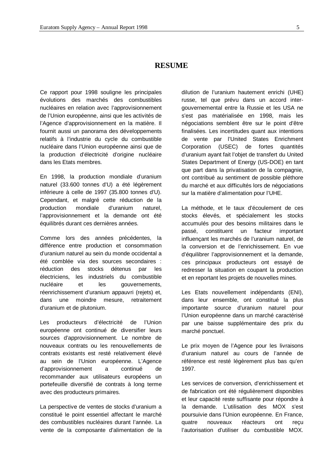# **RESUME**

Ce rapport pour 1998 souligne les principales évolutions des marchés des combustibles nucléaires en relation avec l'approvisionnement de l'Union européenne, ainsi que les activités de l'Agence d'approvisionnement en la matière. Il fournit aussi un panorama des développements relatifs à l'industrie du cycle du combustible nucléaire dans l'Union européenne ainsi que de la production d'électricité d'origine nucléaire dans les Etats membres.

En 1998, la production mondiale d'uranium naturel (33.600 tonnes d'U) a été légèrement inférieure à celle de 1997 (35.800 tonnes d'U). Cependant, et malgré cette réduction de la production mondiale d'uranium naturel, l'approvisionnement et la demande ont été équilibrés durant ces dernières années.

Comme lors des années précédentes, la différence entre production et consommation d'uranium naturel au sein du monde occidental a été comblée via des sources secondaires : réduction des stocks détenus par les électriciens, les industriels du combustible nucléaire et les gouvernements, réenrichissement d'uranium appauvri (rejets) et, dans une moindre mesure, retraitement d'uranium et de plutonium.

Les producteurs d'électricité de l'Union européenne ont continué de diversifier leurs sources d'approvisionnement. Le nombre de nouveaux contrats ou les renouvellements de contrats existants est resté relativement élevé au sein de l'Union européenne. L'Agence d'approvisionnement a continué de recommander aux utilisateurs européens un portefeuille diversifié de contrats à long terme avec des producteurs primaires.

La perspective de ventes de stocks d'uranium a constitué le point essentiel affectant le marché des combustibles nucléaires durant l'année. La vente de la composante d'alimentation de la

dilution de l'uranium hautement enrichi (UHE) russe, tel que prévu dans un accord intergouvernemental entre la Russie et les USA ne s'est pas matérialisée en 1998, mais les négociations semblent être sur le point d'être finalisées. Les incertitudes quant aux intentions de vente par l'United States Enrichment Corporation (USEC) de fortes quantités d'uranium ayant fait l'objet de transfert du United States Department of Energy (US-DOE) en tant que part dans la privatisation de la compagnie, ont contribué au sentiment de possible pléthore du marché et aux difficultés lors de négociations sur la matière d'alimentation pour l'UHE.

La méthode, et le taux d'écoulement de ces stocks élevés, et spécialement les stocks accumulés pour des besoins militaires dans le passé, constituent un facteur important influençant les marchés de l'uranium naturel, de la conversion et de l'enrichissement. En vue d'équilibrer l'approvisionnement et la demande, ces principaux producteurs ont essayé de redresser la situation en coupant la production et en reportant les projets de nouvelles mines.

Les Etats nouvellement indépendants (ENI), dans leur ensemble, ont constitué la plus importante source d'uranium naturel pour l'Union européenne dans un marché caractérisé par une baisse supplémentaire des prix du marché ponctuel.

Le prix moyen de l'Agence pour les livraisons d'uranium naturel au cours de l'année de référence est resté légèrement plus bas qu'en 1997.

Les services de conversion, d'enrichissement et de fabrication ont été régulièrement disponibles et leur capacité reste suffisante pour répondre à la demande. L'utilisation des MOX s'est poursuivie dans l'Union européenne. En France, quatre nouveaux réacteurs ont reçu l'autorisation d'utiliser du combustible MOX.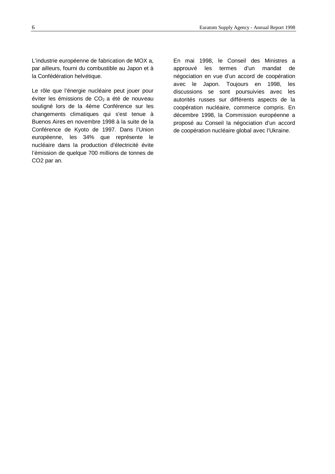L'industrie européenne de fabrication de MOX a, par ailleurs, fourni du combustible au Japon et à la Confédération helvétique.

Le rôle que l'énergie nucléaire peut jouer pour éviter les émissions de  $CO<sub>2</sub>$  a été de nouveau souligné lors de la 4ème Conférence sur les changements climatiques qui s'est tenue à Buenos Aires en novembre 1998 à la suite de la Conférence de Kyoto de 1997. Dans l'Union européenne, les 34% que représente le nucléaire dans la production d'électricité évite l'émission de quelque 700 millions de tonnes de CO2 par an.

En mai 1998, le Conseil des Ministres a approuvé les termes d'un mandat de négociation en vue d'un accord de coopération avec le Japon. Toujours en 1998, les discussions se sont poursuivies avec les autorités russes sur différents aspects de la coopération nucléaire, commerce compris. En décembre 1998, la Commission européenne a proposé au Conseil la négociation d'un accord de coopération nucléaire global avec l'Ukraine.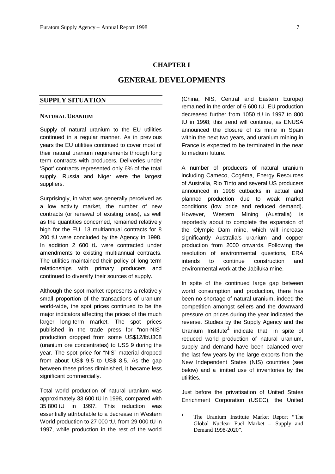# **CHAPTER I**

# **GENERAL DEVELOPMENTS**

# **SUPPLY SITUATION**

#### **NATURAL URANIUM**

Supply of natural uranium to the EU utilities continued in a regular manner. As in previous years the EU utilities continued to cover most of their natural uranium requirements through long term contracts with producers. Deliveries under 'Spot' contracts represented only 6% of the total supply. Russia and Niger were the largest suppliers.

Surprisingly, in what was generally perceived as a low activity market, the number of new contracts (or renewal of existing ones), as well as the quantities concerned, remained relatively high for the EU. 13 multiannual contracts for 8 200 tU were concluded by the Agency in 1998. In addition 2 600 tU were contracted under amendments to existing multiannual contracts. The utilities maintained their policy of long term relationships with primary producers and continued to diversify their sources of supply.

Although the spot market represents a relatively small proportion of the transactions of uranium world-wide, the spot prices continued to be the major indicators affecting the prices of the much larger long-term market. The spot prices published in the trade press for "non-NIS" production dropped from some US\$12/lbU308 (uranium ore concentrates) to US\$ 9 during the year. The spot price for "NIS" material dropped from about US\$ 9.5 to US\$ 8.5. As the gap between these prices diminished, it became less significant commercially.

Total world production of natural uranium was approximately 33 600 tU in 1998, compared with 35 800 tU in 1997*.* This reduction was essentially attributable to a decrease in Western World production to 27 000 tU, from 29 000 tU in 1997, while production in the rest of the world

(China, NIS, Central and Eastern Europe) remained in the order of 6 600 tU. EU production decreased further from 1050 tU in 1997 to 800 tU in 1998; this trend will continue, as ENUSA announced the closure of its mine in Spain within the next two years, and uranium mining in France is expected to be terminated in the near to medium future.

A number of producers of natural uranium including Cameco, Cogéma, Energy Resources of Australia, Rio Tinto and several US producers announced in 1998 cutbacks in actual and planned production due to weak market conditions (low price and reduced demand). However, Western Mining (Australia) is reportedly about to complete the expansion of the Olympic Dam mine, which will increase significantly Australia's uranium and copper production from 2000 onwards. Following the resolution of environmental questions, ERA intends to continue construction and environmental work at the Jabiluka mine.

In spite of the continued large gap between world consumption and production, there has been no shortage of natural uranium, indeed the competition amongst sellers and the downward pressure on prices during the year indicated the reverse. Studies by the Supply Agency and the Uranium Institute<sup>1</sup> indicate that, in spite of reduced world production of natural uranium, supply and demand have been balanced over the last few years by the large exports from the New Independent States (NIS) countries (see below) and a limited use of inventories by the utilities.

Just before the privatisation of United States Enrichment Corporation (USEC), the United

 $\frac{1}{1}$  The Uranium Institute Market Report "The Global Nuclear Fuel Market – Supply and Demand 1998-2020".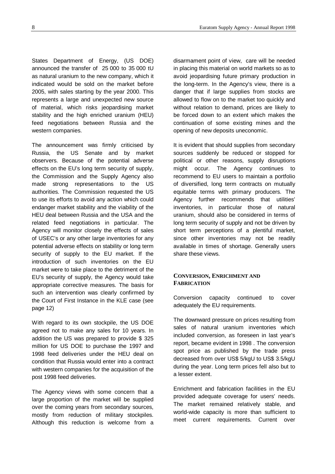States Department of Energy, (US DOE) announced the transfer of 25 000 to 35 000 tU as natural uranium to the new company, which it indicated would be sold on the market before 2005, with sales starting by the year 2000. This represents a large and unexpected new source of material, which risks jeopardising market stability and the high enriched uranium (HEU) feed negotiations between Russia and the western companies.

The announcement was firmly criticised by Russia, the US Senate and by market observers. Because of the potential adverse effects on the EU's long term security of supply, the Commission and the Supply Agency also made strong representations to the US authorities. The Commission requested the US to use its efforts to avoid any action which could endanger market stability and the viability of the HEU deal between Russia and the USA and the related feed negotiations in particular. The Agency will monitor closely the effects of sales of USEC's or any other large inventories for any potential adverse effects on stability or long term security of supply to the EU market. If the introduction of such inventories on the EU market were to take place to the detriment of the EU's security of supply, the Agency would take appropriate corrective measures. The basis for such an intervention was clearly confirmed by the Court of First Instance in the KLE case (see page 12)

With regard to its own stockpile, the US DOE agreed not to make any sales for 10 years. In addition the US was prepared to provide \$ 325 million for US DOE to purchase the 1997 and 1998 feed deliveries under the HEU deal on condition that Russia would enter into a contract with western companies for the acquisition of the post 1998 feed deliveries.

The Agency views with some concern that a large proportion of the market will be supplied over the coming years from secondary sources, mostly from reduction of military stockpiles. Although this reduction is welcome from a disarmament point of view, care will be needed in placing this material on world markets so as to avoid jeopardising future primary production in the long-term. In the Agency's view, there is a danger that if large supplies from stocks are allowed to flow on to the market too quickly and without relation to demand, prices are likely to be forced down to an extent which makes the continuation of some existing mines and the opening of new deposits uneconomic.

It is evident that should supplies from secondary sources suddenly be reduced or stopped for political or other reasons, supply disruptions might occur. The Agency continues to recommend to EU users to maintain a portfolio of diversified, long term contracts on mutually equitable terms with primary producers. The Agency further recommends that utilities' inventories, in particular those of natural uranium, should also be considered in terms of long term security of supply and not be driven by short term perceptions of a plentiful market, since other inventories may not be readily available in times of shortage. Generally users share these views.

# **CONVERSION, ENRICHMENT AND FABRICATION**

Conversion capacity continued to cover adequately the EU requirements.

The downward pressure on prices resulting from sales of natural uranium inventories which included conversion, as foreseen in last year's report, became evident in 1998 . The conversion spot price as published by the trade press decreased from over US\$ 5/kgU to US\$ 3.5/kgU during the year. Long term prices fell also but to a lesser extent.

Enrichment and fabrication facilities in the EU provided adequate coverage for users' needs. The market remained relatively stable, and world-wide capacity is more than sufficient to meet current requirements. Current over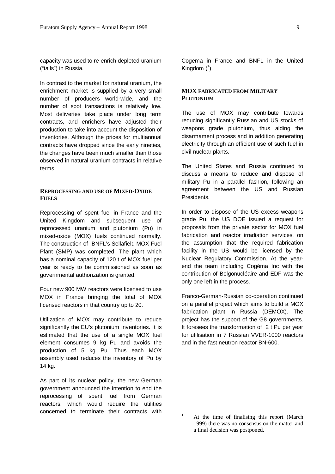capacity was used to re-enrich depleted uranium ("tails") in Russia.

In contrast to the market for natural uranium, the enrichment market is supplied by a very small number of producers world-wide, and the number of spot transactions is relatively low. Most deliveries take place under long term contracts, and enrichers have adjusted their production to take into account the disposition of inventories. Although the prices for multiannual contracts have dropped since the early nineties, the changes have been much smaller than those observed in natural uranium contracts in relative terms.

#### **REPROCESSING AND USE OF MIXED-OXIDE FUELS**

Reprocessing of spent fuel in France and the United Kingdom and subsequent use of reprocessed uranium and plutonium (Pu) in mixed-oxide (MOX) fuels continued normally. The construction of BNFL's Sellafield MOX Fuel Plant (SMP) was completed. The plant which has a nominal capacity of 120 t of MOX fuel per year is ready to be commissioned as soon as governmental authorization is granted.

Four new 900 MW reactors were licensed to use MOX in France bringing the total of MOX licensed reactors in that country up to 20.

Utilization of MOX may contribute to reduce significantly the EU's plutonium inventories. It is estimated that the use of a single MOX fuel element consumes 9 kg Pu and avoids the production of 5 kg Pu. Thus each MOX assembly used reduces the inventory of Pu by 14 kg.

As part of its nuclear policy, the new German government announced the intention to end the reprocessing of spent fuel from German reactors, which would require the utilities concerned to terminate their contracts with

Cogema in France and BNFL in the United Kingdom  $(^1)$ .

# **MOX FABRICATED FROM MILITARY PLUTONIUM**

The use of MOX may contribute towards reducing significantly Russian and US stocks of weapons grade plutonium, thus aiding the disarmament process and in addition generating electricity through an efficient use of such fuel in civil nuclear plants.

The United States and Russia continued to discuss a means to reduce and dispose of military Pu in a parallel fashion, following an agreement between the US and Russian Presidents.

In order to dispose of the US excess weapons grade Pu, the US DOE issued a request for proposals from the private sector for MOX fuel fabrication and reactor irradiation services, on the assumption that the required fabrication facility in the US would be licensed by the Nuclear Regulatory Commission. At the yearend the team including Cogéma Inc with the contribution of Belgonucléaire and EDF was the only one left in the process.

Franco-German-Russian co-operation continued on a parallel project which aims to build a MOX fabrication plant in Russia (DEMOX). The project has the support of the G8 governments. It foresees the transformation of 2 t Pu per year for utilisation in 7 Russian VVER-1000 reactors and in the fast neutron reactor BN-600.

 $\mathbf{1}$ 

At the time of finalising this report (March) 1999) there was no consensus on the matter and a final decision was postponed.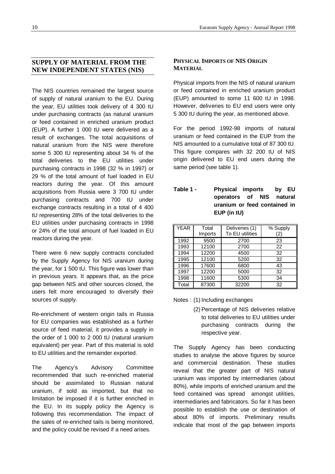# **SUPPLY OF MATERIAL FROM THE NEW INDEPENDENT STATES (NIS)**

The NIS countries remained the largest source of supply of natural uranium to the EU. During the year, EU utilities took delivery of 4 300 tU under purchasing contracts (as natural uranium or feed contained in enriched uranium product (EUP). A further 1 000 tU were delivered as a result of exchanges. The total acquisitions of natural uranium from the NIS were therefore some 5 300 tU representing about 34 % of the total deliveries to the EU utilities under purchasing contracts in 1998 (32 % in 1997) or 29 % of the total amount of fuel loaded in EU reactors during the year. Of this amount acquisitions from Russia were 3 700 tU under purchasing contracts and 700 tU under exchange contracts resulting in a total of 4 400 tU representing 28% of the total deliveries to the EU utilities under purchasing contracts in 1998 or 24% of the total amount of fuel loaded in EU reactors during the year.

There were 6 new supply contracts concluded by the Supply Agency for NIS uranium during the year, for 1 500 tU. This figure was lower than in previous years. It appears that, as the price gap between NIS and other sources closed, the users felt more encouraged to diversify their sources of supply.

Re-enrichment of western origin tails in Russia for EU companies was established as a further source of feed material, it provides a supply in the order of 1 000 to 2 000 tU (natural uranium equivalent) per year. Part of this material is sold to EU utilities and the remainder exported.

The Agency's Advisory Committee recommended that such re-enriched material should be assimilated to Russian natural uranium, if sold as imported, but that no limitation be imposed if it is further enriched in the EU. In its supply policy the Agency is following this recommendation. The impact of the sales of re-enriched tails is being monitored, and the policy could be revised if a need arises.

# **PHYSICAL IMPORTS OF NIS ORIGIN MATERIAL**

Physical imports from the NIS of natural uranium or feed contained in enriched uranium product (EUP) amounted to some 11 600 tU in 1998. However, deliveries to EU end users were only 5 300 tU during the year, as mentioned above.

For the period 1992-98 imports of natural uranium or feed contained in the EUP from the NIS amounted to a cumulative total of 87 300 tU. This figure compares with 32 200 tU of NIS origin delivered to EU end users during the same period (see table 1).

| Table 1 - | Physical imports by EU       |  |
|-----------|------------------------------|--|
|           | operators of NIS natural     |  |
|           | uranium or feed contained in |  |
|           | EUP (in tU)                  |  |

| <b>YEAR</b> | Total   | Deliveries (1)  | % Supply |
|-------------|---------|-----------------|----------|
|             | Imports | To EU utilities | (2)      |
| 1992        | 9500    | 2700            | 23       |
| 1993        | 12100   | 2700            | 22       |
| 1994        | 12200   | 4500            | 32       |
| 1995        | 12100   | 5200            | 32       |
| 1996        | 17600   | 6800            | 43       |
| 1997        | 12200   | 5000            | 32       |
| 1998        | 11600   | 5300            | 34       |
| Total       | 87300   | 32200           | 32       |

Notes : (1) Including exchanges

(2) Percentage of NIS deliveries relative to total deliveries to EU utilities under purchasing contracts during the respective year.

The Supply Agency has been conducting studies to analyse the above figures by source and commercial destination. These studies reveal that the greater part of NIS natural uranium was imported by intermediaries (about 80%), while imports of enriched uranium and the feed contained was spread amongst utilities, intermediaries and fabricators. So far it has been possible to establish the use or destination of about 80% of imports. Preliminary results indicate that most of the gap between imports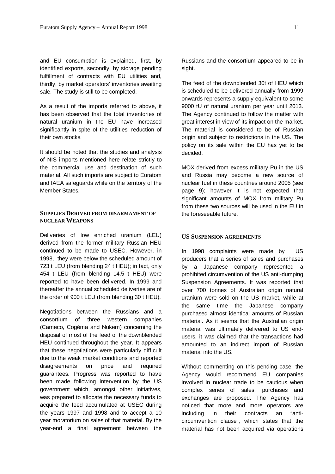and EU consumption is explained, first, by identified exports, secondly, by storage pending fulfillment of contracts with EU utilities and, thirdly, by market operators' inventories awaiting sale. The study is still to be completed.

As a result of the imports referred to above, it has been observed that the total inventories of natural uranium in the EU have increased significantly in spite of the utilities' reduction of their own stocks.

It should be noted that the studies and analysis of NIS imports mentioned here relate strictly to the commercial use and destination of such material. All such imports are subject to Euratom and IAEA safeguards while on the territory of the Member States.

# **SUPPLIES DERIVED FROM DISARMAMENT OF NUCLEAR WEAPONS**

Deliveries of low enriched uranium (LEU) derived from the former military Russian HEU continued to be made to USEC. However, in 1998, they were below the scheduled amount of 723 t LEU (from blending 24 t HEU); in fact, only 454 t LEU (from blending 14.5 t HEU) were reported to have been delivered. In 1999 and thereafter the annual scheduled deliveries are of the order of 900 t LEU (from blending 30 t HEU).

Negotiations between the Russians and a consortium of three western companies (Cameco, Cogéma and Nukem) concerning the disposal of most of the feed of the downblended HEU continued throughout the year. It appears that these negotiations were particularly difficult due to the weak market conditions and reported disagreements on price and required guarantees. Progress was reported to have been made following intervention by the US government which, amongst other initiatives, was prepared to allocate the necessary funds to acquire the feed accumulated at USEC during the years 1997 and 1998 and to accept a 10 year moratorium on sales of that material. By the year-end a final agreement between the

Russians and the consortium appeared to be in sight.

The feed of the downblended 30t of HEU which is scheduled to be delivered annually from 1999 onwards represents a supply equivalent to some 9000 tU of natural uranium per year until 2013. The Agency continued to follow the matter with great interest in view of its impact on the market. The material is considered to be of Russian origin and subject to restrictions in the US. The policy on its sale within the EU has yet to be decided.

MOX derived from excess military Pu in the US and Russia may become a new source of nuclear fuel in these countries around 2005 (see page 9); however it is not expected that significant amounts of MOX from military Pu from these two sources will be used in the EU in the foreseeable future.

#### **US SUSPENSION AGREEMENTS**

In 1998 complaints were made by US producers that a series of sales and purchases by a Japanese company represented a prohibited circumvention of the US anti-dumping Suspension Agreements. It was reported that over 700 tonnes of Australian origin natural uranium were sold on the US market, while at the same time the Japanese company purchased almost identical amounts of Russian material. As it seems that the Australian origin material was ultimately delivered to US endusers, it was claimed that the transactions had amounted to an indirect import of Russian material into the US.

Without commenting on this pending case, the Agency would recommend EU companies involved in nuclear trade to be cautious when complex series of sales, purchases and exchanges are proposed. The Agency has noticed that more and more operators are including in their contracts an "anticircumvention clause", which states that the material has not been acquired via operations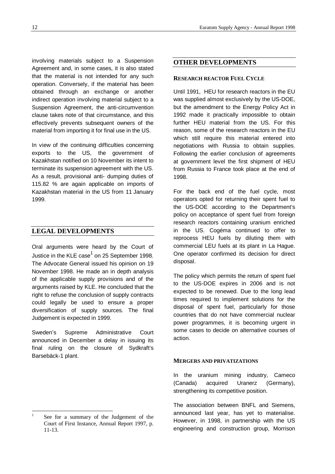involving materials subject to a Suspension Agreement and, in some cases, it is also stated that the material is not intended for any such operation. Conversely, if the material has been obtained through an exchange or another indirect operation involving material subject to a Suspension Agreement, the anti-circumvention clause takes note of that circumstance, and this effectively prevents subsequent owners of the material from importing it for final use in the US.

In view of the continuing difficulties concerning exports to the US, the government of Kazakhstan notified on 10 November its intent to terminate its suspension agreement with the US. As a result, provisional anti- dumping duties of 115.82 % are again applicable on imports of Kazakhstan material in the US from 11 January 1999.

# **LEGAL DEVELOPMENTS**

Oral arguments were heard by the Court of Justice in the KLE case $^1$  on 25 September 1998. The Advocate General issued his opinion on 19 November 1998. He made an in depth analysis of the applicable supply provisions and of the arguments raised by KLE. He concluded that the right to refuse the conclusion of supply contracts could legally be used to ensure a proper diversification of supply sources. The final Judgement is expected in 1999.

Sweden's Supreme Administrative Court announced in December a delay in issuing its final ruling on the closure of Sydkraft's Barsebäck-1 plant.

# **OTHER DEVELOPMENTS**

#### **RESEARCH REACTOR FUEL CYCLE**

Until 1991, HEU for research reactors in the EU was supplied almost exclusively by the US-DOE, but the amendment to the Energy Policy Act in 1992 made it practically impossible to obtain further HEU material from the US. For this reason, some of the research reactors in the EU which still require this material entered into negotiations with Russia to obtain supplies. Following the earlier conclusion of agreements at government level the first shipment of HEU from Russia to France took place at the end of 1998.

For the back end of the fuel cycle, most operators opted for returning their spent fuel to the US-DOE according to the Department's policy on acceptance of spent fuel from foreign research reactors containing uranium enriched in the US. Cogéma continued to offer to reprocess HEU fuels by diluting them with commercial LEU fuels at its plant in La Hague. One operator confirmed its decision for direct disposal.

The policy which permits the return of spent fuel to the US-DOE expires in 2006 and is not expected to be renewed. Due to the long lead times required to implement solutions for the disposal of spent fuel, particularly for those countries that do not have commercial nuclear power programmes, it is becoming urgent in some cases to decide on alternative courses of action.

#### **MERGERS AND PRIVATIZATIONS**

In the uranium mining industry, Cameco (Canada) acquired Uranerz (Germany), strengthening its competitive position.

The association between BNFL and Siemens, announced last year, has yet to materialise. However, in 1998, in partnership with the US engineering and construction group, Morrison

 $\frac{1}{1}$  See for a summary of the Judgement of the Court of First Instance, Annual Report 1997, p. 11-13.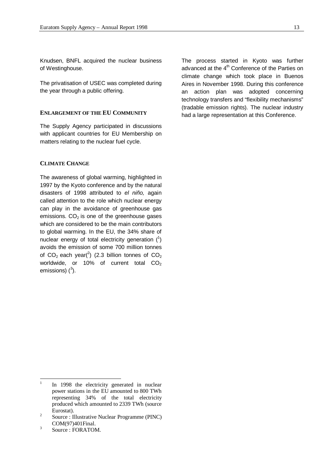Knudsen, BNFL acquired the nuclear business of Westinghouse.

The privatisation of USEC was completed during the year through a public offering.

#### **ENLARGEMENT OF THE EU COMMUNITY**

The Supply Agency participated in discussions with applicant countries for EU Membership on matters relating to the nuclear fuel cycle.

# **CLIMATE CHANGE**

The awareness of global warming, highlighted in 1997 by the Kyoto conference and by the natural disasters of 1998 attributed to *el niño,* again called attention to the role which nuclear energy can play in the avoidance of greenhouse gas emissions.  $CO<sub>2</sub>$  is one of the greenhouse gases which are considered to be the main contributors to global warming. In the EU, the 34% share of nuclear energy of total electricity generation  $(^1)$ avoids the emission of some 700 million tonnes of CO<sub>2</sub> each year(<sup>2</sup>) (2.3 billion tonnes of CO<sub>2</sub> worldwide, or 10% of current total  $CO<sub>2</sub>$ emissions)  $(^3)$ .

The process started in Kyoto was further advanced at the 4<sup>th</sup> Conference of the Parties on climate change which took place in Buenos Aires in November 1998. During this conference an action plan was adopted concerning technology transfers and "flexibility mechanisms" (tradable emission rights). The nuclear industry had a large representation at this Conference.

 $\frac{1}{1}$ In 1998 the electricity generated in nuclear power stations in the EU amounted to 800 TWh representing 34% of the total electricity produced which amounted to 2339 TWh (source Eurostat).

 $\overline{2}$ Source : Illustrative Nuclear Programme (PINC) COM(97)401Final.

<sup>3</sup> Source : FORATOM.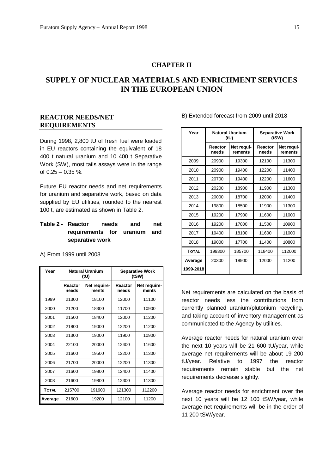# **CHAPTER II**

# **SUPPLY OF NUCLEAR MATERIALS AND ENRICHMENT SERVICES IN THE EUROPEAN UNION**

# **REACTOR NEEDS/NET REQUIREMENTS**

During 1998, 2,800 tU of fresh fuel were loaded in EU reactors containing the equivalent of 18 400 t natural uranium and 10 400 t Separative Work (SW), most tails assays were in the range of  $0.25 - 0.35$  %.

Future EU reactor needs and net requirements for uranium and separative work, based on data supplied by EU utilities, rounded to the nearest 100 t, are estimated as shown in Table 2.

# **Table 2 - Reactor needs and net requirements for uranium and separative work**

A) From 1999 until 2008

| Year         | <b>Natural Uranium</b><br>(tU) |                       | <b>Separative Work</b><br>(tSW) |                       |
|--------------|--------------------------------|-----------------------|---------------------------------|-----------------------|
|              | Reactor<br>needs               | Net require-<br>ments | Reactor<br>needs                | Net require-<br>ments |
| 1999         | 21300                          | 18100                 | 12000                           | 11100                 |
| 2000         | 21200                          | 18300                 | 11700                           | 10900                 |
| 2001         | 21500                          | 18400                 | 12000                           | 11200                 |
| 2002         | 21800                          | 19000                 | 12200                           | 11200                 |
| 2003         | 21300                          | 19000                 |                                 | 10900                 |
| 2004         | 22100<br>20000                 |                       | 12400                           | 11600                 |
| 2005         | 21600<br>19500                 |                       | 12200                           | 11300                 |
| 2006         | 21700<br>20000                 |                       | 12200                           | 11300                 |
| 2007         | 21600<br>19800                 |                       | 12400                           | 11400                 |
| 2008         | 21600                          | 19800                 | 12300                           | 11300                 |
| <b>TOTAL</b> | 215700<br>191900               |                       | 121300                          | 112200                |
| Average      | 21600                          | 19200                 | 12100                           | 11200                 |

#### B) Extended forecast from 2009 until 2018

| Year         | <b>Natural Uranium</b><br>(tU)            |                | <b>Separative Work</b><br>(tSW) |                       |
|--------------|-------------------------------------------|----------------|---------------------------------|-----------------------|
|              | Reactor<br>Net requi-<br>needs<br>rements |                | Reactor<br>needs                | Net requi-<br>rements |
| 2009         | 20900                                     | 19300          | 12100                           | 11300                 |
| 2010         | 20900                                     | 19400          | 12200                           | 11400                 |
| 2011         | 20700                                     | 19400          | 12200                           | 11600                 |
| 2012         | 20200                                     | 18900          | 11900                           | 11300                 |
| 2013         | 20000                                     | 18700          | 12000                           | 11400                 |
| 2014         | 19800                                     | 18500          | 11900                           | 11300                 |
| 2015         | 19200                                     | 17900          | 11600                           | 11000                 |
| 2016         | 19200                                     | 17800          | 11500                           | 10900                 |
| 2017         | 19400                                     | 18100          | 11600                           | 11000                 |
| 2018         | 19000                                     | 17700<br>11400 |                                 | 10800                 |
| <b>TOTAL</b> | 199300                                    | 185700         | 118400                          | 112000                |
| Average      | 20300                                     | 18900          | 12000                           | 11200                 |
| 1999-2018    |                                           |                |                                 |                       |

Net requirements are calculated on the basis of reactor needs less the contributions from currently planned uranium/plutonium recycling, and taking account of inventory management as communicated to the Agency by utilities.

Average reactor needs for natural uranium over the next 10 years will be 21 600 tU/year, while average net requirements will be about 19 200 tU/year. Relative to 1997 the reactor requirements remain stable but the net requirements decrease slightly.

Average reactor needs for enrichment over the next 10 years will be 12 100 tSW/year, while average net requirements will be in the order of 11 200 tSW/year.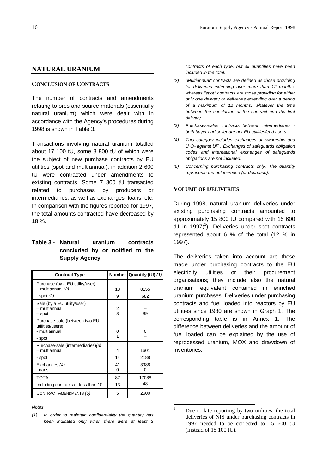#### **NATURAL URANIUM**

#### **CONCLUSION OF CONTRACTS**

The number of contracts and amendments relating to ores and source materials (essentially natural uranium) which were dealt with in accordance with the Agency's procedures during 1998 is shown in Table 3.

Transactions involving natural uranium totalled about 17 100 tU, some 8 800 tU of which were the subject of new purchase contracts by EU utilities (spot and multiannual), in addition 2 600 tU were contracted under amendments to existing contracts. Some 7 800 tU transacted related to purchases by producers or intermediaries, as well as exchanges, loans, etc. In comparison with the figures reported for 1997, the total amounts contracted have decreased by 18 %.

# **Table 3 - Natural uranium contracts concluded by or notified to the Supply Agency**

| <b>Contract Type</b>                                                         |                              | Number Quantity (tU) (1) |
|------------------------------------------------------------------------------|------------------------------|--------------------------|
| Purchase (by a EU utility/user)<br>- multiannual (2)                         | 13                           | 8155                     |
| - spot (2)                                                                   | 9                            | 682                      |
| Sale (by a EU utility/user)<br>- multiannual<br>– spot                       | 2<br>$\overline{\mathbf{3}}$ | 89                       |
| Purchase-sale (between two EU<br>utilities/users)<br>- multiannual<br>- spot | 0<br>1                       | n                        |
| Purchase-sale (intermediaries)(3)<br>- multiannual<br>- spot                 | 4<br>14                      | 1601<br>2188             |
| Exchanges (4)<br>Loans                                                       | 41<br>$\Omega$               | 3988<br>U                |
| <b>TOTAL</b>                                                                 | 87                           | 17088                    |
| Including contracts of less than 10t                                         | 13                           | 48                       |
| <b>CONTRACT AMENDMENTS (5)</b>                                               | 5                            | 2600                     |

#### *Notes*

*contracts of each type, but all quantities have been included in the total.*

- *(2) "Multiannual" contracts are defined as those providing for deliveries extending over more than 12 months, whereas "spot" contracts are those providing for either only one delivery or deliveries extending over a period of a maximum of 12 months, whatever the time between the conclusion of the contract and the first delivery.*
- *(3) Purchases/sales contracts between intermediaries both buyer and seller are not EU utilities/end users.*
- *(4) This category includes exchanges of ownership and U3O8 against UF6. Exchanges of safeguards obligation codes and international exchanges of safeguards obligations are not included.*
- *(5) Concerning purchasing contracts only. The quantity represents the net increase (or decrease).*

#### **VOLUME OF DELIVERIES**

During 1998, natural uranium deliveries under existing purchasing contracts amounted to approximately 15 800 tU compared with 15 600 tU in 1997 $(1)$ . Deliveries under spot contracts represented about 6 % of the total (12 % in 1997).

The deliveries taken into account are those made under purchasing contracts to the EU electricity utilities or their procurement organisations; they include also the natural uranium equivalent contained in enriched uranium purchases. Deliveries under purchasing contracts and fuel loaded into reactors by EU utilities since 1980 are shown in Graph 1. The corresponding table is in Annex 1. The difference between deliveries and the amount of fuel loaded can be explained by the use of reprocessed uranium, MOX and drawdown of inventories.

l

*<sup>(1)</sup> In order to maintain confidentiality the quantity has been indicated only when there were at least 3*

Due to late reporting by two utilities, the total deliveries of NIS under purchasing contracts in 1997 needed to be corrected to 15 600 tU (instead of 15 100 tU).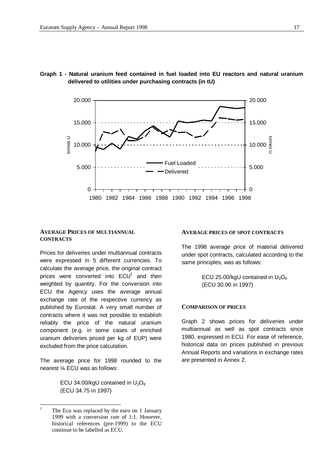

# **Graph 1 - Natural uranium feed contained in fuel loaded into EU reactors and natural uranium delivered to utilities under purchasing contracts (in tU)**

# **AVERAGE PRICES OF MULTIANNUAL CONTRACTS**

Prices for deliveries under multiannual contracts were expressed in 5 different currencies. To calculate the average price, the original contract prices were converted into  $ECU<sup>1</sup>$  and then weighted by quantity. For the conversion into ECU the Agency uses the average annual exchange rate of the respective currency as published by Eurostat. A very small number of contracts where it was not possible to establish reliably the price of the natural uranium component (e.g. in some cases of enriched uranium deliveries priced per kg of EUP) were excluded from the price calculation.

The average price for 1998 rounded to the nearest ¼ ECU was as follows:

> ECU 34.00/kgU contained in  $U_3O_8$ (ECU 34.75 in 1997)

#### **AVERAGE PRICES OF SPOT CONTRACTS**

The 1998 average price of material delivered under spot contracts, calculated according to the same principles, was as follows:

> ECU 25.00/kgU contained in  $U_3O_8$ (ECU 30.00 in 1997)

#### **COMPARISON OF PRICES**

Graph 2 shows prices for deliveries under multiannual as well as spot contracts since 1980, expressed in ECU. For ease of reference, historical data on prices published in previous Annual Reports and variations in exchange rates are presented in Annex 2.

<sup>|&</sup>lt;br>|<br>| The Ecu was replaced by the euro on 1 January 1999 with a conversion rate of 1:1. However, historical references (pre-1999) to the ECU continue to be labelled as ECU.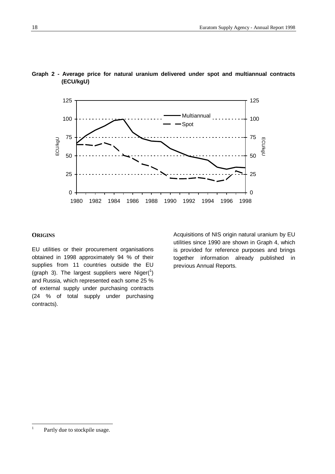

# **Graph 2 - Average price for natural uranium delivered under spot and multiannual contracts (ECU/kgU)**

#### **ORIGINS**

EU utilities or their procurement organisations obtained in 1998 approximately 94 % of their supplies from 11 countries outside the EU (graph 3). The largest suppliers were Niger( $1$ ) and Russia, which represented each some 25 % of external supply under purchasing contracts (24 % of total supply under purchasing contracts).

Acquisitions of NIS origin natural uranium by EU utilities since 1990 are shown in Graph 4, which is provided for reference purposes and brings together information already published in previous Annual Reports.

 $\frac{1}{1}$ Partly due to stockpile usage.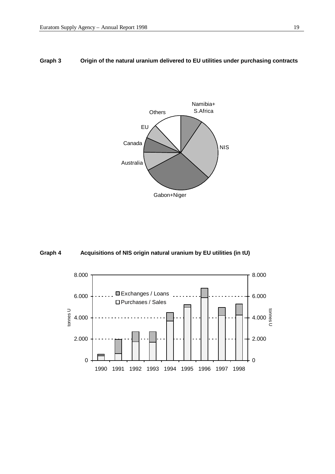# **Graph 3 Origin of the natural uranium delivered to EU utilities under purchasing contracts**





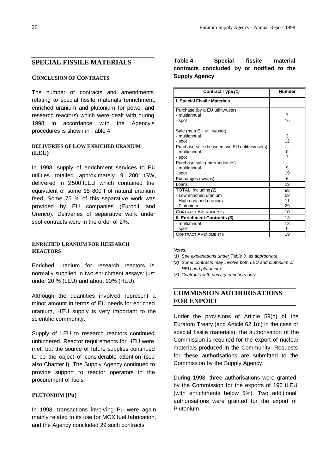# **SPECIAL FISSILE MATERIALS**

#### **CONCLUSION OF CONTRACTS**

The number of contracts and amendments relating to special fissile materials (enrichment, enriched uranium and plutonium for power and research reactors) which were dealt with during 1998 in accordance with the Agency's procedures is shown in Table 4.

# **DELIVERIES OF LOW ENRICHED URANIUM (LEU)**

In 1998, supply of enrichment services to EU utilities totalled approximately 9 200 tSW, delivered in 2 500 tLEU which contained the equivalent of some 15 800 t of natural uranium feed. Some 75 % of this separative work was provided by EU companies (Eurodif and Urenco). Deliveries of separative work under spot contracts were in the order of 2%.

# **ENRICHED URANIUM FOR RESEARCH REACTORS**

Enriched uranium for research reactors is normally supplied in two enrichment assays: just under 20 % (LEU) and about 90% (HEU).

Although the quantities involved represent a minor amount in terms of EU needs for enriched uranium, HEU supply is very important to the scientific community.

Supply of LEU to research reactors continued unhindered. Reactor requirements for HEU were met, but the source of future supplies continued to be the object of considerable attention (see also Chapter I). The Supply Agency continued to provide support to reactor operators in the procurement of fuels.

### **PLUTONIUM (Pu)**

In 1998, transactions involving Pu were again mainly related to its use for MOX fuel fabrication, and the Agency concluded 29 such contracts.

# **Table 4 - Special fissile material contracts concluded by or notified to the Supply Agency**

| Contract Type (1)                                | <b>Number</b>  |
|--------------------------------------------------|----------------|
| I. Special Fissile Materials                     |                |
| Purchase (by a EU utility/user)<br>- multiannual | $\overline{7}$ |
| - spot                                           | 16             |
| Sale (by a EU utility/user)                      |                |
| - multiannual                                    | 3              |
| - spot                                           | 12             |
| Purchase-sale (between two EU utilities/users)   |                |
| - multiannual                                    | 0              |
| - spot                                           | 7              |
| Purchase-sale (intermediaries)                   |                |
| - multiannual                                    | 9              |
| - spot                                           | 19             |
| Exchanges (swaps)                                | 6              |
| Loans                                            | 19             |
| TOTAL, including (2)                             | 98             |
| - Low enriched uranium                           | 59             |
| - High enriched uranium                          | 11             |
| - Plutonium                                      | 29             |
| <b>CONTRACT AMENDMENTS</b>                       | 10             |
| II. Enrichment Contracts (3)                     | 13             |
| - multiannual                                    | 13             |
| - spot                                           | 0              |
| <b>CONTRACT AMENDMENTS</b>                       | 19             |

*Notes:*

- *(1) See explanations under Table 3, as appropriate.*
- *(2) Some contracts may involve both LEU and plutonium or HEU and plutonium.*
- *(3) Contracts with primary enrichers only.*

# **COMMISSION AUTHORISATIONS FOR EXPORT**

Under the provisions of Article 59(b) of the Euratom Treaty (and Article 62.1(c) in the case of special fissile materials), the authorisation of the Commission is required for the export of nuclear materials produced in the Community. Requests for these authorisations are submitted to the Commission by the Supply Agency.

During 1998, three authorisations were granted by the Commission for the exports of 196 tLEU (with enrichments below 5%). Two additional authorisations were granted for the export of Plutonium.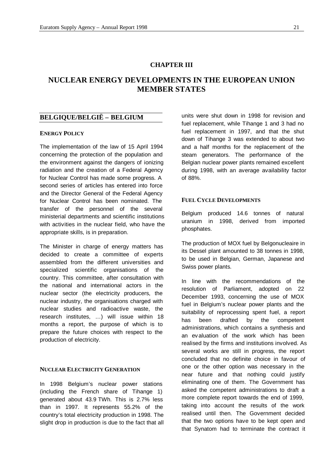# **CHAPTER III**

# **NUCLEAR ENERGY DEVELOPMENTS IN THE EUROPEAN UNION MEMBER STATES**

# **BELGIQUE/BELGIË – BELGIUM**

# **ENERGY POLICY**

The implementation of the law of 15 April 1994 concerning the protection of the population and the environment against the dangers of ionizing radiation and the creation of a Federal Agency for Nuclear Control has made some progress. A second series of articles has entered into force and the Director General of the Federal Agency for Nuclear Control has been nominated. The transfer of the personnel of the several ministerial departments and scientific institutions with activities in the nuclear field, who have the appropriate skills, is in preparation.

The Minister in charge of energy matters has decided to create a committee of experts assembled from the different universities and specialized scientific organisations of the country. This committee, after consultation with the national and international actors in the nuclear sector (the electricity producers, the nuclear industry, the organisations charged with nuclear studies and radioactive waste, the research institutes, … ) will issue within 18 months a report, the purpose of which is to prepare the future choices with respect to the production of electricity.

#### **NUCLEAR ELECTRICITY GENERATION**

In 1998 Belgium's nuclear power stations (including the French share of Tihange 1) generated about 43.9 TWh. This is 2.7% less than in 1997. It represents 55.2% of the country's total electricity production in 1998. The slight drop in production is due to the fact that all

units were shut down in 1998 for revision and fuel replacement, while Tihange 1 and 3 had no fuel replacement in 1997, and that the shut down of Tihange 3 was extended to about two and a half months for the replacement of the steam generators. The performance of the Belgian nuclear power plants remained excellent during 1998, with an average availability factor of 88%.

#### **FUEL CYCLE DEVELOPMENTS**

Belgium produced 14.6 tonnes of natural uranium in 1998, derived from imported phosphates.

The production of MOX fuel by Belgonucleaire in its Dessel plant amounted to 38 tonnes in 1998, to be used in Belgian, German, Japanese and Swiss power plants.

In line with the recommendations of the resolution of Parliament, adopted on 22 December 1993, concerning the use of MOX fuel in Belgium's nuclear power plants and the suitability of reprocessing spent fuel, a report has been drafted by the competent administrations, which contains a synthesis and an evaluation of the work which has been realised by the firms and institutions involved. As several works are still in progress, the report concluded that no definite choice in favour of one or the other option was necessary in the near future and that nothing could justify eliminating one of them. The Government has asked the competent administrations to draft a more complete report towards the end of 1999, taking into account the results of the work realised until then. The Government decided that the two options have to be kept open and that Synatom had to terminate the contract it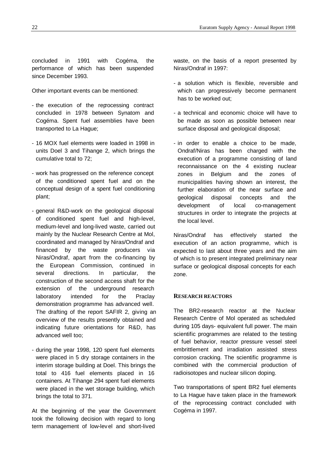concluded in 1991 with Cogéma, the performance of which has been suspended since December 1993.

Other important events can be mentioned:

- the execution of the reprocessing contract concluded in 1978 between Synatom and Cogéma. Spent fuel assemblies have been transported to La Hague;
- 16 MOX fuel elements were loaded in 1998 in units Doel 3 and Tihange 2, which brings the cumulative total to 72;
- work has progressed on the reference concept of the conditioned spent fuel and on the conceptual design of a spent fuel conditioning plant;
- general R&D-work on the geological disposal of conditioned spent fuel and high-level, medium-level and long-lived waste, carried out mainly by the Nuclear Research Centre at Mol, coordinated and managed by Niras/Ondraf and financed by the waste producers via Niras/Ondraf, apart from the co-financing by the European Commission, continued in several directions. In particular, the construction of the second access shaft for the extension of the underground research laboratory intended for the Praclay demonstration programme has advanced well. The drafting of the report SAFIR 2, giving an overview of the results presently obtained and indicating future orientations for R&D, has advanced well too;
- during the year 1998, 120 spent fuel elements were placed in 5 dry storage containers in the interim storage building at Doel. This brings the total to 416 fuel elements placed in 16 containers. At Tihange 294 spent fuel elements were placed in the wet storage building, which brings the total to 371.

At the beginning of the year the Government took the following decision with regard to long term management of low-level and short-lived

waste, on the basis of a report presented by Niras/Ondraf in 1997:

- a solution which is flexible, reversible and which can progressively become permanent has to be worked out;
- a technical and economic choice will have to be made as soon as possible between near surface disposal and geological disposal;
- in order to enable a choice to be made, Ondraf/Niras has been charged with the execution of a programme consisting of land reconnaissance on the 4 existing nuclear zones in Belgium and the zones of municipalities having shown an interest, the further elaboration of the near surface and geological disposal concepts and the development of local co-management structures in order to integrate the projects at the local level.

Niras/Ondraf has effectively started the execution of an action programme, which is expected to last about three years and the aim of which is to present integrated preliminary near surface or geological disposal concepts for each zone.

#### **RESEARCH REACTORS**

The BR2-research reactor at the Nuclear Research Centre of Mol operated as scheduled during 105 days- equivalent full power. The main scientific programmes are related to the testing of fuel behavior, reactor pressure vessel steel embrittlement and irradiation assisted stress corrosion cracking. The scientific programme is combined with the commercial production of radioisotopes and nuclear silicon doping.

Two transportations of spent BR2 fuel elements to La Hague have taken place in the framework of the reprocessing contract concluded with Cogéma in 1997.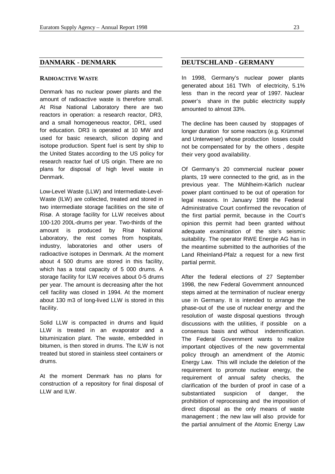# **DANMARK - DENMARK**

#### **RADIOACTIVE WASTE**

Denmark has no nuclear power plants and the amount of radioactive waste is therefore small. At Risø National Laboratory there are two reactors in operation: a research reactor, DR3, and a small homogeneous reactor, DR1, used for education. DR3 is operated at 10 MW and used for basic research, silicon doping and isotope production. Spent fuel is sent by ship to the United States according to the US policy for research reactor fuel of US origin. There are no plans for disposal of high level waste in Denmark.

Low-Level Waste (LLW) and Intermediate-Level-Waste (ILW) are collected, treated and stored in two intermediate storage facilities on the site of Risø. A storage facility for LLW receives about 100-120 200L-drums per year. Two-thirds of the amount is produced by Risø National Laboratory, the rest comes from hospitals, industry, laboratories and other users of radioactive isotopes in Denmark. At the moment about 4 500 drums are stored in this facility, which has a total capacity of 5 000 drums. A storage facility for ILW receives about 0-5 drums per year. The amount is decreasing after the hot cell facility was closed in 1994. At the moment about 130 m3 of long-lived LLW is stored in this facility.

Solid LLW is compacted in drums and liquid LLW is treated in an evaporator and a bituminization plant. The waste, embedded in bitumen, is then stored in drums. The ILW is not treated but stored in stainless steel containers or drums.

At the moment Denmark has no plans for construction of a repository for final disposal of LLW and ILW.

# **DEUTSCHLAND - GERMANY**

In 1998, Germany's nuclear power plants generated about 161 TWh of electricity, 5.1% less than in the record year of 1997. Nuclear power's share in the public electricity supply amounted to almost 33%.

The decline has been caused by stoppages of longer duration for some reactors (e.g. Krümmel and Unterweser) whose production losses could not be compensated for by the others , despite their very good availability.

Of Germany's 20 commercial nuclear power plants, 19 were connected to the grid, as in the previous year. The Mühlheim-Kärlich nuclear power plant continued to be out of operation for legal reasons. In January 1998 the Federal Administrative Court confirmed the revocation of the first partial permit, because in the Court's opinion this permit had been granted without adequate examination of the site's seismic suitability. The operator RWE Energie AG has in the meantime submitted to the authorities of the Land Rheinland-Pfalz a request for a new first partial permit.

After the federal elections of 27 September 1998, the new Federal Government announced steps aimed at the termination of nuclear energy use in Germany. It is intended to arrange the phase-out of the use of nuclear energy and the resolution of waste disposal questions through discussions with the utilities, if possible on a consensus basis and without indemnification. The Federal Government wants to realize important objectives of the new governmental policy through an amendment of the Atomic Energy Law. This will include the deletion of the requirement to promote nuclear energy, the requirement of annual safety checks, the clarification of the burden of proof in case of a substantiated suspicion of danger, the prohibition of reprocessing and the imposition of direct disposal as the only means of waste management ; the new law will also provide for the partial annulment of the Atomic Energy Law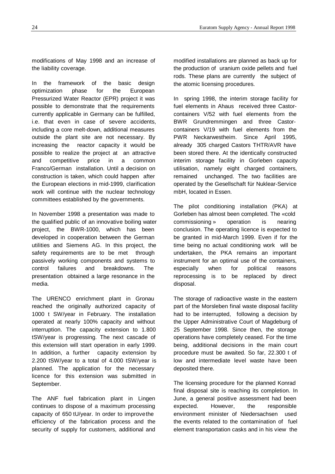modifications of May 1998 and an increase of the liability coverage.

In the framework of the basic design optimization phase for the European Pressurized Water Reactor (EPR) project it was possible to demonstrate that the requirements currently applicable in Germany can be fulfilled, i.e. that even in case of severe accidents, including a core melt-down, additional measures outside the plant site are not necessary. By increasing the reactor capacity it would be possible to realize the project at an attractive and competitive price in a common Franco/German installation. Until a decision on construction is taken, which could happen after the European elections in mid-1999, clarification work will continue with the nuclear technology committees established by the governments.

In November 1998 a presentation was made to the qualified public of an innovative boiling water project, the BWR-1000, which has been developed in cooperation between the German utilities and Siemens AG. In this project, the safety requirements are to be met through passively working components and systems to control failures and breakdowns. The presentation obtained a large resonance in the media.

The URENCO enrichment plant in Gronau reached the originally authorized capacity of 1000 t SW/year in February. The installation operated at nearly 100% capacity and without interruption. The capacity extension to 1.800 tSW/year is progressing. The next cascade of this extension will start operation in early 1999. In addition, a further capacity extension by 2.200 tSW/year to a total of 4.000 tSW/year is planned. The application for the necessary licence for this extension was submitted in September.

The ANF fuel fabrication plant in Lingen continues to dispose of a maximum processing capacity of 650 tU/year. In order to improve the efficiency of the fabrication process and the security of supply for customers, additional and

modified installations are planned as back up for the production of uranium oxide pellets and fuel rods. These plans are currently the subject of the atomic licensing procedures.

In spring 1998, the interim storage facility for fuel elements in Ahaus received three Castorcontainers V/52 with fuel elements from the BWR Grundremmingen and three Castorcontainers V/19 with fuel elements from the PWR Neckarwestheim. Since April 1995, already 305 charged Castors THTR/AVR have been stored there. At the identically constructed interim storage facility in Gorleben capacity utilisation, namely eight charged containers, remained unchanged. The two facilities are operated by the Gesellschaft für Nuklear-Service mbH, located in Essen.

The pilot conditioning installation (PKA) at Gorleben has almost been completed. The «cold commissioning » operation is nearing conclusion. The operating licence is expected to be granted in mid-March 1999. Even if for the time being no actual conditioning work will be undertaken, the PKA remains an important instrument for an optimal use of the containers, especially when for political reasons reprocessing is to be replaced by direct disposal.

The storage of radioactive waste in the eastern part of the Morsleben final waste disposal facility had to be interrupted, following a decision by the Upper Administrative Court of Magdeburg of 25 September 1998. Since then, the storage operations have completely ceased. For the time being, additional decisions in the main court procedure must be awaited. So far, 22.300 t of low and intermediate level waste have been deposited there.

The licensing procedure for the planned Konrad final disposal site is reaching its completion. In June, a general positive assessment had been expected. However, the responsible environment minister of Niedersachsen used the events related to the contamination of fuel element transportation casks and in his view the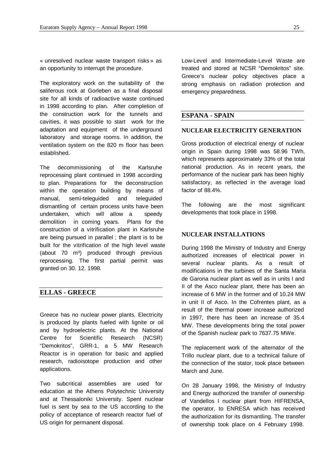« unresolved nuclear waste transport risks » as an opportunity to interrupt the procedure.

The exploratory work on the suitability of the saliferous rock at Gorleben as a final disposal site for all kinds of radioactive waste continued in 1998 according to plan. After completion of the construction work for the tunnels and cavities, it was possible to start work for the adaptation and equipment of the underground laboratory and storage rooms. In addition, the ventilation system on the 820 m floor has been established.

The decommissioning of the Karlsruhe reprocessing plant continued in 1998 according to plan. Preparations for the deconstruction within the operation building by means of manual, semi-teleguided and teleguided dismantling of certain process units have been undertaken, which will allow a speedy demolition in coming years. Plans for the construction of a vitrification plant in Karlsruhe are being pursued in parallel ; the plant is to be built for the vitrification of the high level waste (about 70 m<sup>3</sup>) produced through previous reprocessing. The first partial permit was granted on 30. 12. 1998.

# **ELLAS - GREECE**

Greece has no nuclear power plants. Electricity is produced by plants fueled with lignite or oil and by hydroelectric plants. At the National Centre for Scientific Research (NCSR) "Demokritos", GRR-1, a 5 MW Research Reactor is in operation for basic and applied research, radioisotope production and other applications.

Two subcritical assemblies are used for education at the Athens Polytechnic University and at Thessaloniki University. Spent nuclear fuel is sent by sea to the US according to the policy of acceptance of research reactor fuel of US origin for permanent disposal.

Low-Level and Intermediate-Level Waste are treated and stored at NCSR "Demokritos" site. Greece's nuclear policy objectives place a strong emphasis on radiation protection and emergency preparedness.

## **ESPANA - SPAIN**

#### **NUCLEAR ELECTRICITY GENERATION**

Gross production of electrical energy of nuclear origin in Spain during 1998 was 58.96 TWh, which represents approximately 33% of the total national production. As in recent years, the performance of the nuclear park has been highly satisfactory, as reflected in the average load factor of 88.4%.

The following are the most significant developments that took place in 1998.

### **NUCLEAR INSTALLATIONS**

During 1998 the Ministry of Industry and Energy authorized increases of electrical power in several nuclear plants. As a result of modifications in the turbines of the Santa Maria de Garona nuclear plant as well as in units I and II of the Asco nuclear plant, there has been an increase of 6 MW in the former and of 10.24 MW in unit II of Asco. In the Cofrentes plant, as a result of the thermal power increase authorized in 1997, there has been an increase of 35.4 MW. These developments bring the total power of the Spanish nuclear park to 7637.75 MWe.

The replacement work of the alternator of the Trillo nuclear plant, due to a technical failure of the connection of the stator, took place between March and June.

On 28 January 1998, the Ministry of Industry and Energy authorized the transfer of ownership of Vandellos I nuclear plant from HIFRENSA, the operator, to ENRESA which has received the authorization for its dismantling. The transfer of ownership took place on 4 February 1998.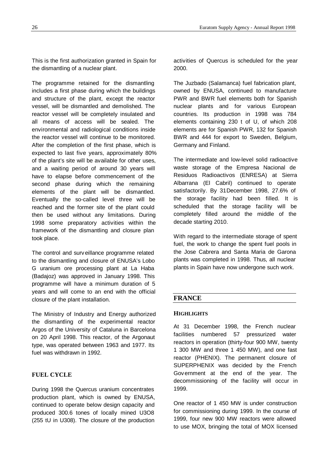This is the first authorization granted in Spain for the dismantling of a nuclear plant.

The programme retained for the dismantling includes a first phase during which the buildings and structure of the plant, except the reactor vessel, will be dismantled and demolished. The reactor vessel will be completely insulated and all means of access will be sealed. The environmental and radiological conditions inside the reactor vessel will continue to be monitored. After the completion of the first phase, which is expected to last five years, approximately 80% of the plant's site will be available for other uses, and a waiting period of around 30 years will have to elapse before commencement of the second phase during which the remaining elements of the plant will be dismantled. Eventually the so-called level three will be reached and the former site of the plant could then be used without any limitations. During 1998 some preparatory activities within the framework of the dismantling and closure plan took place.

The control and surveillance programme related to the dismantling and closure of ENUSA's Lobo G uranium ore processing plant at La Haba (Badajoz) was approved in January 1998. This programme will have a minimum duration of 5 years and will come to an end with the official closure of the plant installation.

The Ministry of Industry and Energy authorized the dismantling of the experimental reactor Argos of the University of Cataluna in Barcelona on 20 April 1998. This reactor, of the Argonaut type, was operated between 1963 and 1977. Its fuel was withdrawn in 1992.

# **FUEL CYCLE**

During 1998 the Quercus uranium concentrates production plant, which is owned by ENUSA, continued to operate below design capacity and produced 300.6 tones of locally mined U3O8 (255 tU in U308). The closure of the production

activities of Quercus is scheduled for the year 2000.

The Juzbado (Salamanca) fuel fabrication plant, owned by ENUSA, continued to manufacture PWR and BWR fuel elements both for Spanish nuclear plants and for various European countries. Its production in 1998 was 784 elements containing 230 t of U, of which 208 elements are for Spanish PWR, 132 for Spanish BWR and 444 for export to Sweden, Belgium, Germany and Finland.

The intermediate and low-level solid radioactive waste storage of the Empresa Nacional de Residuos Radioactivos (ENRESA) at Sierra Albarrana (El Cabril) continued to operate satisfactorily. By 31 December 1998, 27.6% of the storage facility had been filled. It is scheduled that the storage facility will be completely filled around the middle of the decade starting 2010.

With regard to the intermediate storage of spent fuel, the work to change the spent fuel pools in the Jose Cabrera and Santa Maria de Garona plants was completed in 1998. Thus, all nuclear plants in Spain have now undergone such work.

# **FRANCE**

# **HIGHLIGHTS**

At 31 December 1998, the French nuclear facilities numbered 57 pressurized water reactors in operation (thirty-four 900 MW, twenty 1 300 MW and three 1 450 MW), and one fast reactor (PHENIX). The permanent closure of SUPERPHENIX was decided by the French Government at the end of the year. The decommissioning of the facility will occur in 1999.

One reactor of 1 450 MW is under construction for commissioning during 1999. In the course of 1999, four new 900 MW reactors were allowed to use MOX, bringing the total of MOX licensed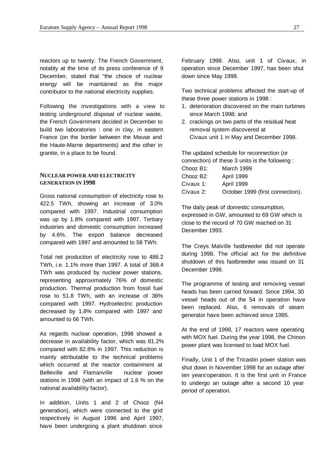reactors up to twenty. The French Government, notably at the time of its press conference of 9 December, stated that "the choice of nuclear energy will be maintained as the major contributor to the national electricity supplies.

Following the investigations with a view to testing underground disposal of nuclear waste, the French Government decided in December to build two laboratories : one in clay, in eastern France (on the border between the Meuse and the Haute-Marne departments) and the other in granite, in a place to be found.

### **NUCLEAR POWER AND ELECTRICITY GENERATION IN 1998**

Gross national consumption of electricity rose to 422.5 TWh, showing an increase of 3.0% compared with 1997. Industrial consumption was up by 1.8% compared with 1997. Tertiary industries and domestic consumption increased by 4.6%. The export balance decreased compared with 1997 and amounted to 58 TWh.

Total net production of electricity rose to 486.2 TWh, i.e. 1.1% more than 1997. A total of 368.4 TWh was produced by nuclear power stations, representing approximately 76% of domestic production. Thermal production from fossil fuel rose to 51.8 TWh, with an increase of 36% compared with 1997. Hydroelectric production decreased by 1.8% compared with 1997 and amounted to 66 TWh.

As regards nuclear operation, 1998 showed a decrease in availability factor, which was 81.2% compared with 82.8% in 1997. This reduction is mainly attributable to the technical problems which occurred at the reactor containment at Belleville and Flamanville nuclear power stations in 1998 (with an impact of 1.6 % on the national availability factor).

In addition, Units 1 and 2 of Chooz (N4 generation), which were connected to the grid respectively in August 1996 and April 1997, have been undergoing a plant shutdown since

February 1998. Also, unit 1 of Civaux, in operation since December 1997, has been shut down since May 1998.

Two technical problems affected the start-up of these three power stations in 1998 :

- 1. deterioration discovered on the main turbines since March 1998; and
- 2. crackings on two parts of the residual heat removal system discovered at Civaux unit 1 in May and December 1998.

The updated schedule for reconnection (or connection) of these 3 units is the following : Chooz B1: March 1999

| Chooz B <sub>2</sub> : | April 1999                       |
|------------------------|----------------------------------|
| Civaux 1:              | <b>April 1999</b>                |
| Civaux 2:              | October 1999 (first connection). |

The daily peak of domestic consumption, expressed in GW, amounted to 69 GW which is close to the record of 70 GW reached on 31 December 1993.

The Creys Malville fastbreeder did not operate during 1998. The official act for the definitive shutdown of this fastbreeder was issued on 31 December 1998.

The programme of testing and removing vessel heads has been carried forward. Since 1994, 30 vessel heads out of the 54 in operation have been replaced. Also, 6 removals of steam generator have been achieved since 1995.

At the end of 1998, 17 reactors were operating with MOX fuel. During the year 1998, the Chinon power plant was licensed to load MOX fuel.

Finally, Unit 1 of the Tricastin power station was shut down in November 1998 for an outage after ten years'operation. It is the first unit in France to undergo an outage after a second 10 year period of operation.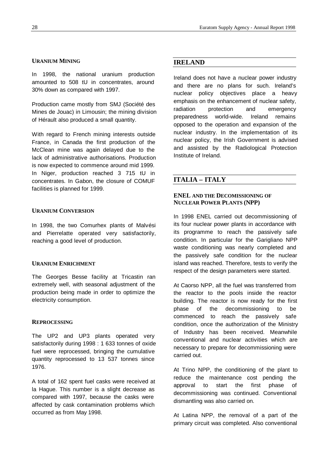#### **URANIUM MINING**

In 1998, the national uranium production amounted to 508 tU in concentrates, around 30% down as compared with 1997.

Production came mostly from SMJ (Société des Mines de Jouac) in Limousin; the mining division of Hérault also produced a small quantity.

With regard to French mining interests outside France, in Canada the first production of the McClean mine was again delayed due to the lack of administrative authorisations. Production is now expected to commence around mid 1999. In Niger, production reached 3 715 tU in concentrates. In Gabon, the closure of COMUF facilities is planned for 1999.

#### **URANIUM CONVERSION**

In 1998, the two Comurhex plants of Malvési and Pierrelatte operated very satisfactorily, reaching a good level of production.

#### **URANIUM ENRICHMENT**

The Georges Besse facility at Tricastin ran extremely well, with seasonal adjustment of the production being made in order to optimize the electricity consumption.

#### **REPROCESSING**

The UP2 and UP3 plants operated very satisfactorily during 1998 : 1 633 tonnes of oxide fuel were reprocessed, bringing the cumulative quantity reprocessed to 13 537 tonnes since 1976.

A total of 162 spent fuel casks were received at la Hague. This number is a slight decrease as compared with 1997, because the casks were affected by cask contamination problems which occurred as from May 1998.

# **IRELAND**

Ireland does not have a nuclear power industry and there are no plans for such. Ireland's nuclear policy objectives place a heavy emphasis on the enhancement of nuclear safety, radiation protection and emergency preparedness world-wide. Ireland remains opposed to the operation and expansion of the nuclear industry. In the implementation of its nuclear policy, the Irish Government is advised and assisted by the Radiological Protection Institute of Ireland.

# **ITALIA – ITALY**

# **ENEL AND THE DECOMISSIONING OF NUCLEAR POWER PLANTS (NPP)**

In 1998 ENEL carried out decommissioning of its four nuclear power plants in accordance with its programme to reach the passively safe condition. In particular for the Garigliano NPP waste conditioning was nearly completed and the passively safe condition for the nuclear island was reached. Therefore, tests to verify the respect of the design parameters were started.

At Caorso NPP, all the fuel was transferred from the reactor to the pools inside the reactor building. The reactor is now ready for the first phase of the decommissioning to be commenced to reach the passively safe condition, once the authorization of the Ministry of Industry has been received. Meanwhile conventional and nuclear activities which are necessary to prepare for decommissioning were carried out.

At Trino NPP, the conditioning of the plant to reduce the maintenance cost pending the approval to start the first phase of decommissioning was continued. Conventional dismantling was also carried on.

At Latina NPP, the removal of a part of the primary circuit was completed. Also conventional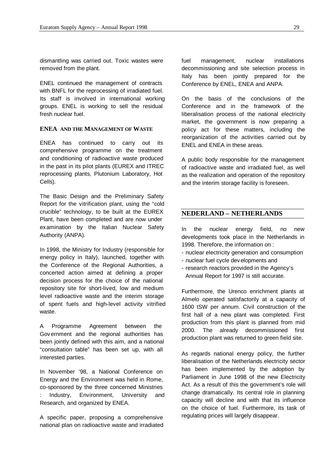dismantling was carried out. Toxic wastes were removed from the plant.

ENEL continued the management of contracts with BNFL for the reprocessing of irradiated fuel. Its staff is involved in international working groups. ENEL is working to sell the residual fresh nuclear fuel.

# **ENEA AND THE MANAGEMENT OF WASTE**

ENEA has continued to carry out its comprehensive programme on the treatment and conditioning of radioactive waste produced in the past in its pilot plants (EUREX and ITREC reprocessing plants, Plutonium Laboratory, Hot Cells).

The Basic Design and the Preliminary Safety Report for the vitrification plant, using the "cold crucible" technology, to be built at the EUREX Plant, have been completed and are now under examination by the Italian Nuclear Safety Authority (ANPA).

In 1998, the Ministry for Industry (responsible for energy policy in Italy), launched, together with the Conference of the Regional Authorities, a concerted action aimed at defining a proper decision process for the choice of the national repository site for short-lived, low and medium level radioactive waste and the interim storage of spent fuels and high-level activity vitrified waste.

A Programme Agreement between the Government and the regional authorities has been jointly defined with this aim, and a national "consultation table" has been set up, with all interested parties.

In November '98, a National Conference on Energy and the Environment was held in Rome, co-sponsored by the three concerned Ministries Industry, Environment, University and Research, and organized by ENEA.

A specific paper, proposing a comprehensive national plan on radioactive waste and irradiated fuel management, nuclear installations decommissioning and site selection process in Italy has been jointly prepared for the Conference by ENEL, ENEA and ANPA.

On the basis of the conclusions of the Conference and in the framework of the liberalisation process of the national electricity market, the government is now preparing a policy act for these matters, including the reorganization of the activities carried out by ENEL and ENEA in these areas.

A public body responsible for the management of radioactive waste and irradiated fuel, as well as the realization and operation of the repository and the interim storage facility is foreseen.

# **NEDERLAND – NETHERLANDS**

In the nuclear energy field, no new developments took place in the Netherlands in 1998. Therefore, the information on :

- nuclear electricity generation and consumption
- nuclear fuel cycle developments and
- research reactors provided in the Agency's Annual Report for 1997 is still accurate.

Furthermore, the Urenco enrichment plants at Almelo operated satisfactorily at a capacity of 1600 tSW per annum. Civil construction of the first hall of a new plant was completed. First production from this plant is planned from mid 2000. The already decommissioned first production plant was returned to green field site.

As regards national energy policy, the further liberalisation of the Netherlands electricity sector has been implemented by the adoption by Parliament in June 1998 of the new Electricity Act. As a result of this the government's role will change dramatically. Its central role in planning capacity will decline and with that its influence on the choice of fuel. Furthermore, its task of regulating prices will largely disappear.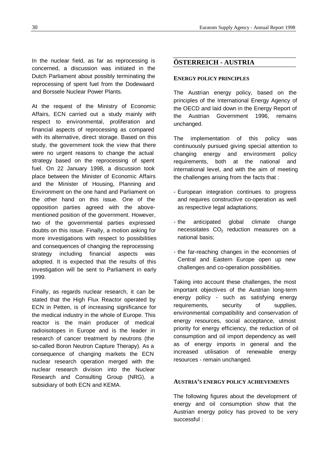In the nuclear field, as far as reprocessing is concerned, a discussion was initiated in the Dutch Parliament about possibly terminating the reprocessing of spent fuel from the Dodewaard and Borssele Nuclear Power Plants.

At the request of the Ministry of Economic Affairs, ECN carried out a study mainly with respect to environmental, proliferation and financial aspects of reprocessing as compared with its alternative, direct storage. Based on this study, the government took the view that there were no urgent reasons to change the actual strategy based on the reprocessing of spent fuel. On 22 January 1998, a discussion took place between the Minister of Economic Affairs and the Minister of Housing, Planning and Environment on the one hand and Parliament on the other hand on this issue. One of the opposition parties agreed with the abovementioned position of the government. However, two of the governmental parties expressed doubts on this issue. Finally, a motion asking for more investigations with respect to possibilities and consequences of changing the reprocessing strategy including financial aspects was adopted. It is expected that the results of this investigation will be sent to Parliament in early 1999.

Finally, as regards nuclear research, it can be stated that the High Flux Reactor operated by ECN in Petten, is of increasing significance for the medical industry in the whole of Europe. This reactor is the main producer of medical radioisotopes in Europe and is the leader in research of cancer treatment by neutrons (the so-called Boron Neutron Capture Therapy). As a consequence of changing markets the ECN nuclear research operation merged with the nuclear research division into the Nuclear Research and Consulting Group (NRG), a subsidiary of both ECN and KEMA.

# **ÖSTERREICH - AUSTRIA**

# **ENERGY POLICY PRINCIPLES**

The Austrian energy policy, based on the principles of the International Energy Agency of the OECD and laid down in the Energy Report of the Austrian Government 1996, remains unchanged.

The implementation of this policy was continuously pursued giving special attention to changing energy and environment policy requirements, both at the national and international level, and with the aim of meeting the challenges arising from the facts that :

- European integration continues to progress and requires constructive co-operation as well as respective legal adaptations;
- the anticipated global climate change necessitates  $CO<sub>2</sub>$  reduction measures on a national basis;
- the far-reaching changes in the economies of Central and Eastern Europe open up new challenges and co-operation possibilities.

Taking into account these challenges, the most important objectives of the Austrian long-term energy policy - such as satisfying energy requirements, security of supplies, environmental compatibility and conservation of energy resources, social acceptance, utmost priority for energy efficiency, the reduction of oil consumption and oil import dependency as well as of energy imports in general and the increased utilisation of renewable energy resources - remain unchanged.

#### **AUSTRIA'S ENERGY POLICY ACHIEVEMENTS**

The following figures about the development of energy and oil consumption show that the Austrian energy policy has proved to be very successful :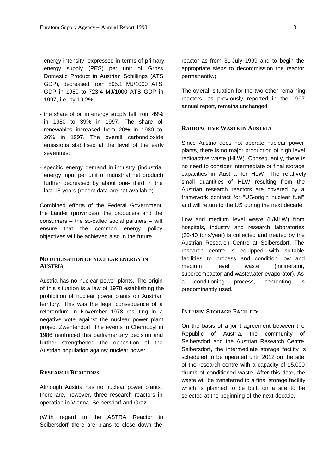- energy intensity, expressed in terms of primary energy supply (PES) per unit of Gross Domestic Product in Austrian Schillings (ATS GDP), decreased from 895.1 MJ/1000 ATS GDP in 1980 to 723.4 MJ/1000 ATS GDP in 1997, i.e. by 19.2%;
- the share of oil in energy supply fell from 49% in 1980 to 39% in 1997. The share of renewables increased from 20% in 1980 to 26% in 1997. The overall carbondioxide emissions stabilised at the level of the early seventies;
- specific energy demand in industry (industrial energy input per unit of industrial net product) further decreased by about one- third in the last 15 years (recent data are not available).

Combined efforts of the Federal Government, the Länder (provinces), the producers and the consumers – the so-called social partners – will ensure that the common energy policy objectives will be achieved also in the future.

# **NO UTILISATION OF NUCLEAR ENERGY IN AUSTRIA**

Austria has no nuclear power plants. The origin of this situation is a law of 1978 establishing the prohibition of nuclear power plants on Austrian territory. This was the legal consequence of a referendum in November 1978 resulting in a negative vote against the nuclear power plant project Zwentendorf. The events in Chernobyl in 1986 reinforced this parliamentary decision and further strengthened the opposition of the Austrian population against nuclear power.

# **RESEARCH REACTORS**

Although Austria has no nuclear power plants, there are, however, three research reactors in operation in Vienna, Seibersdorf and Graz.

(With regard to the ASTRA Reactor in Seibersdorf there are plans to close down the

reactor as from 31 July 1999 and to begin the appropriate steps to decommission the reactor permanently.)

The overall situation for the two other remaining reactors, as previously reported in the 1997 annual report, remains unchanged.

#### **RADIOACTIVE WASTE IN AUSTRIA**

Since Austria does not operate nuclear power plants, there is no major production of high level radioactive waste (HLW). Consequently, there is no need to consider intermediate or final storage capacities in Austria for HLW. The relatively small quantities of HLW resulting from the Austrian research reactors are covered by a framework contract for "US-origin nuclear fuel" and will return to the US during the next decade.

Low and medium level waste (L/MLW) from hospitals, industry and research laboratories (30-40 tons/year) is collected and treated by the Austrian Research Centre at Seibersdorf. The research centre is equipped with suitable facilities to process and condition low and medium level waste (incinerator, supercompactor and wastewater evaporator). As a conditioning process, cementing is predominantly used.

# **INTERIM STORAGE FACILITY**

On the basis of a joint agreement between the Republic of Austria, the community of Seibersdorf and the Austrian Research Centre Seibersdorf, the intermediate storage facility is scheduled to be operated until 2012 on the site of the research centre with a capacity of 15.000 drums of conditioned waste. After this date, the waste will be transferred to a final storage facility which is planned to be built on a site to be selected at the beginning of the next decade.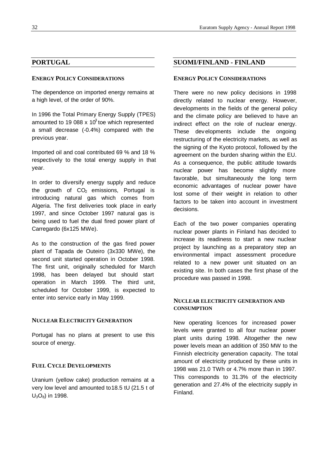# **PORTUGAL**

### **ENERGY POLICY CONSIDERATIONS**

The dependence on imported energy remains at a high level, of the order of 90%.

In 1996 the Total Primary Energy Supply (TPES) amounted to 19 088 x 10<sup>3</sup> toe which represented a small decrease (-0.4%) compared with the previous year.

Imported oil and coal contributed 69 % and 18 % respectively to the total energy supply in that year.

In order to diversify energy supply and reduce the growth of  $CO<sub>2</sub>$  emissions, Portugal is introducing natural gas which comes from Algeria. The first deliveries took place in early 1997, and since October 1997 natural gas is being used to fuel the dual fired power plant of Carregardo (6x125 MWe).

As to the construction of the gas fired power plant of Tapada de Outeiro (3x330 MWe), the second unit started operation in October 1998. The first unit, originally scheduled for March 1998, has been delayed but should start operation in March 1999. The third unit, scheduled for October 1999, is expected to enter into service early in May 1999.

### **NUCLEAR ELECTRICITY GENERATION**

Portugal has no plans at present to use this source of energy.

#### **FUEL CYCLE DEVELOPMENTS**

Uranium (yellow cake) production remains at a very low level and amounted to 18.5 tU (21.5 t of U<sub>3</sub>O<sub>8</sub>) in 1998.

## **SUOMI/FINLAND - FINLAND**

# **ENERGY POLICY CONSIDERATIONS**

There were no new policy decisions in 1998 directly related to nuclear energy. However, developments in the fields of the general policy and the climate policy are believed to have an indirect effect on the role of nuclear energy. These developments include the ongoing restructuring of the electricity markets, as well as the signing of the Kyoto protocol, followed by the agreement on the burden sharing within the EU. As a consequence, the public attitude towards nuclear power has become slightly more favorable, but simultaneously the long term economic advantages of nuclear power have lost some of their weight in relation to other factors to be taken into account in investment decisions.

Each of the two power companies operating nuclear power plants in Finland has decided to increase its readiness to start a new nuclear project by launching as a preparatory step an environmental impact assessment procedure related to a new power unit situated on an existing site. In both cases the first phase of the procedure was passed in 1998.

# **NUCLEAR ELECTRICITY GENERATION AND CONSUMPTION**

New operating licences for increased power levels were granted to all four nuclear power plant units during 1998. Altogether the new power levels mean an addition of 350 MW to the Finnish electricity generation capacity. The total amount of electricity produced by these units in 1998 was 21.0 TWh or 4.7% more than in 1997. This corresponds to 31.3% of the electricity generation and 27.4% of the electricity supply in Finland.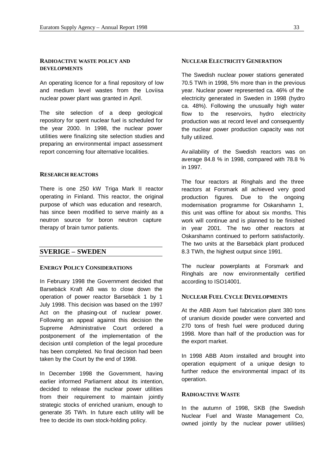#### **RADIOACTIVE WASTE POLICY AND DEVELOPMENTS**

An operating licence for a final repository of low and medium level wastes from the Loviisa nuclear power plant was granted in April.

The site selection of a deep geological repository for spent nuclear fuel is scheduled for the year 2000. In 1998, the nuclear power utilities were finalizing site selection studies and preparing an environmental impact assessment report concerning four alternative localities.

#### **RESEARCH REACTORS**

There is one 250 kW Triga Mark II reactor operating in Finland. This reactor, the original purpose of which was education and research, has since been modified to serve mainly as a neutron source for boron neutron capture therapy of brain tumor patients.

### **SVERIGE – SWEDEN**

#### **ENERGY POLICY CONSIDERATIONS**

In February 1998 the Government decided that Barsebäck Kraft AB was to close down the operation of power reactor Barsebäck 1 by 1 July 1998. This decision was based on the 1997 Act on the phasing-out of nuclear power. Following an appeal against this decision the Supreme Administrative Court ordered a postponement of the implementation of the decision until completion of the legal procedure has been completed. No final decision had been taken by the Court by the end of 1998.

In December 1998 the Government, having earlier informed Parliament about its intention, decided to release the nuclear power utilities from their requirement to maintain jointly strategic stocks of enriched uranium, enough to generate 35 TWh. In future each utility will be free to decide its own stock-holding policy.

#### **NUCLEAR ELECTRICITY GENERATION**

The Swedish nuclear power stations generated 70.5 TWh in 1998, 5% more than in the previous year. Nuclear power represented ca. 46% of the electricity generated in Sweden in 1998 (hydro ca. 48%). Following the unusually high water flow to the reservoirs, hydro electricity production was at record level and consequently the nuclear power production capacity was not fully utilized.

Availability of the Swedish reactors was on average 84.8 % in 1998, compared with 78.8 % in 1997.

The four reactors at Ringhals and the three reactors at Forsmark all achieved very good production figures. Due to the ongoing modernisation programme for Oskarshamn 1, this unit was offline for about six months. This work will continue and is planned to be finished in year 2001. The two other reactors at Oskarshamn continued to perform satisfactorily. The two units at the Barsebäck plant produced 8.3 TWh, the highest output since 1991.

The nuclear powerplants at Forsmark and Ringhals are now environmentally certified according to ISO14001.

#### **NUCLEAR FUEL CYCLE DEVELOPMENTS**

At the ABB Atom fuel fabrication plant 380 tons of uranium dioxide powder were converted and 270 tons of fresh fuel were produced during 1998. More than half of the production was for the export market.

In 1998 ABB Atom installed and brought into operation equipment of a unique design to further reduce the environmental impact of its operation.

#### **RADIOACTIVE WASTE**

In the autumn of 1998, SKB (the Swedish Nuclear Fuel and Waste Management Co, owned jointly by the nuclear power utilities)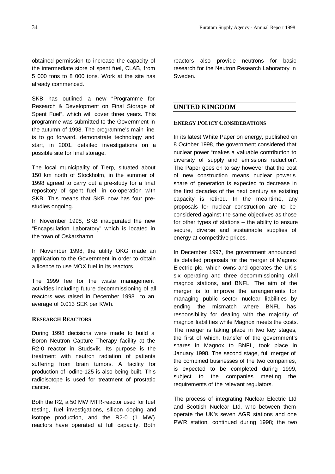obtained permission to increase the capacity of the intermediate store of spent fuel, CLAB, from 5 000 tons to 8 000 tons. Work at the site has already commenced.

SKB has outlined a new "Programme for Research & Development on Final Storage of Spent Fuel", which will cover three years. This programme was submitted to the Government in the autumn of 1998. The programme's main line is to go forward, demonstrate technology and start, in 2001, detailed investigations on a possible site for final storage.

The local municipality of Tierp, situated about 150 km north of Stockholm, in the summer of 1998 agreed to carry out a pre-study for a final repository of spent fuel, in co-operation with SKB. This means that SKB now has four prestudies ongoing.

In November 1998, SKB inaugurated the new "Encapsulation Laboratory" which is located in the town of Oskarshamn.

In November 1998, the utility OKG made an application to the Government in order to obtain a licence to use MOX fuel in its reactors.

The 1999 fee for the waste management activities including future decommissioning of all reactors was raised in December 1998 to an average of 0.013 SEK per KWh.

#### **RESEARCH REACTORS**

During 1998 decisions were made to build a Boron Neutron Capture Therapy facility at the R2-0 reactor in Studsvik. Its purpose is the treatment with neutron radiation of patients suffering from brain tumors. A facility for production of iodine-125 is also being built. This radioisotope is used for treatment of prostatic cancer.

Both the R2, a 50 MW MTR-reactor used for fuel testing, fuel investigations, silicon doping and isotope production, and the R2-0 (1 MW) reactors have operated at full capacity. Both

reactors also provide neutrons for basic research for the Neutron Research Laboratory in Sweden.

# **UNITED KINGDOM**

#### **ENERGY POLICY CONSIDERATIONS**

In its latest White Paper on energy, published on 8 October 1998, the government considered that nuclear power "makes a valuable contribution to diversity of supply and emissions reduction". The Paper goes on to say however that the cost of new construction means nuclear power's share of generation is expected to decrease in the first decades of the next century as existing capacity is retired. In the meantime, any proposals for nuclear construction are to be considered against the same objectives as those for other types of stations – the ability to ensure secure, diverse and sustainable supplies of energy at competitive prices.

In December 1997, the government announced its detailed proposals for the merger of Magnox Electric plc, which owns and operates the UK's six operating and three decommissioning civil magnox stations, and BNFL. The aim of the merger is to improve the arrangements for managing public sector nuclear liabilities by ending the mismatch where BNFL has responsibility for dealing with the majority of magnox liabilities while Magnox meets the costs. The merger is taking place in two key stages, the first of which, transfer of the government's shares in Magnox to BNFL, took place in January 1998. The second stage, full merger of the combined businesses of the two companies, is expected to be completed during 1999, subject to the companies meeting the requirements of the relevant regulators.

The process of integrating Nuclear Electric Ltd and Scottish Nuclear Ltd, who between them operate the UK's seven AGR stations and one PWR station, continued during 1998; the two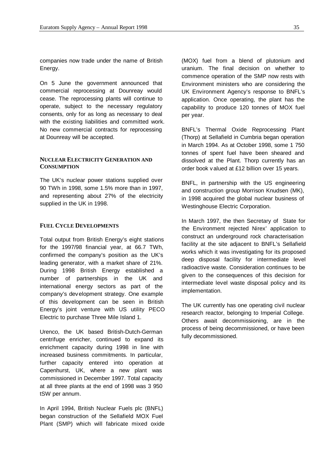companies now trade under the name of British Energy.

On 5 June the government announced that commercial reprocessing at Dounreay would cease. The reprocessing plants will continue to operate, subject to the necessary regulatory consents, only for as long as necessary to deal with the existing liabilities and committed work. No new commercial contracts for reprocessing at Dounreay will be accepted.

# **NUCLEAR ELECTRICITY GENERATION AND CONSUMPTION**

The UK's nuclear power stations supplied over 90 TWh in 1998, some 1.5% more than in 1997, and representing about 27% of the electricity supplied in the UK in 1998.

#### **FUEL CYCLE DEVELOPMENTS**

Total output from British Energy's eight stations for the 1997/98 financial year, at 66.7 TWh, confirmed the company's position as the UK's leading generator, with a market share of 21%. During 1998 British Energy established a number of partnerships in the UK and international energy sectors as part of the company's development strategy. One example of this development can be seen in British Energy's joint venture with US utility PECO Electric to purchase Three Mile Island 1.

Urenco, the UK based British-Dutch-German centrifuge enricher, continued to expand its enrichment capacity during 1998 in line with increased business commitments. In particular, further capacity entered into operation at Capenhurst, UK, where a new plant was commissioned in December 1997. Total capacity at all three plants at the end of 1998 was 3 950 tSW per annum.

In April 1994, British Nuclear Fuels plc (BNFL) began construction of the Sellafield MOX Fuel Plant (SMP) which will fabricate mixed oxide

(MOX) fuel from a blend of plutonium and uranium. The final decision on whether to commence operation of the SMP now rests with Environment ministers who are considering the UK Environment Agency's response to BNFL's application. Once operating, the plant has the capability to produce 120 tonnes of MOX fuel per year.

BNFL's Thermal Oxide Reprocessing Plant (Thorp) at Sellafield in Cumbria began operation in March 1994. As at October 1998, some 1 750 tonnes of spent fuel have been sheared and dissolved at the Plant. Thorp currently has an order book valued at £12 billion over 15 years.

BNFL, in partnership with the US engineering and construction group Morrison Knudsen (MK), in 1998 acquired the global nuclear business of Westinghouse Electric Corporation.

In March 1997, the then Secretary of State for the Environment rejected Nirex' application to construct an underground rock characterisation facility at the site adjacent to BNFL's Sellafield works which it was investigating for its proposed deep disposal facility for intermediate level radioactive waste. Consideration continues to be given to the consequences of this decision for intermediate level waste disposal policy and its implementation.

The UK currently has one operating civil nuclear research reactor, belonging to Imperial College. Others await decommissioning, are in the process of being decommissioned, or have been fully decommissioned.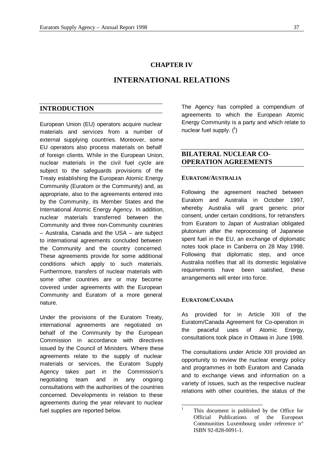#### **CHAPTER IV**

# **INTERNATIONAL RELATIONS**

#### **INTRODUCTION**

European Union (EU) operators acquire nuclear materials and services from a number of external supplying countries. Moreover, some EU operators also process materials on behalf of foreign clients. While in the European Union, nuclear materials in the civil fuel cycle are subject to the safeguards provisions of the Treaty establishing the European Atomic Energy Community (Euratom or the Community) and, as appropriate, also to the agreements entered into by the Community, its Member States and the International Atomic Energy Agency. In addition, nuclear materials transferred between the Community and three non-Community countries – Australia, Canada and the USA – are subject to international agreements concluded between the Community and the country concerned. These agreements provide for some additional conditions which apply to such materials. Furthermore, transfers of nuclear materials with some other countries are or may become covered under agreements with the European Community and Euratom of a more general nature.

Under the provisions of the Euratom Treaty, international agreements are negotiated on behalf of the Community by the European Commission in accordance with directives issued by the Council of Ministers. Where these agreements relate to the supply of nuclear materials or services, the Euratom Supply Agency takes part in the Commission's negotiating team and in any ongoing consultations with the authorities of the countries concerned. Developments in relation to these agreements during the year relevant to nuclear fuel supplies are reported below.

The Agency has compiled a compendium of agreements to which the European Atomic Energy Community is a party and which relate to nuclear fuel supply.  $(^1)$ 

# **BILATERAL NUCLEAR CO-OPERATION AGREEMENTS**

#### **EURATOM/AUSTRALIA**

Following the agreement reached between Euratom and Australia in October 1997, whereby Australia will grant generic prior consent, under certain conditions, for retransfers from Euratom to Japan of Australian obligated plutonium after the reprocessing of Japanese spent fuel in the EU, an exchange of diplomatic notes took place in Canberra on 28 May 1998. Following that diplomatic step, and once Australia notifies that all its domestic legislative requirements have been satisfied, these arrangements will enter into force.

# **EURATOM/CANADA**

As provided for in Article XIII of the Euratom/Canada Agreement for Co-operation in the peaceful uses of Atomic Energy, consultations took place in Ottawa in June 1998.

The consultations under Article XIII provided an opportunity to review the nuclear energy policy and programmes in both Euratom and Canada and to exchange views and information on a variety of issues, such as the respective nuclear relations with other countries, the status of the

 $\bar{1}$ This document is published by the Office for Official Publications of the European Communities Luxembourg under reference n° ISBN 92-828-0091-1.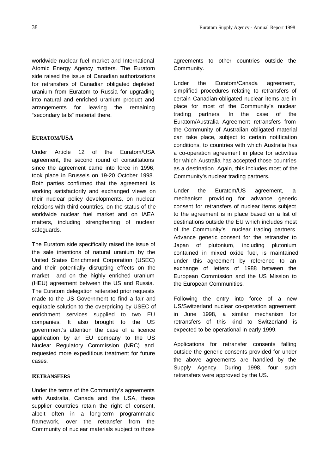worldwide nuclear fuel market and International Atomic Energy Agency matters. The Euratom side raised the issue of Canadian authorizations for retransfers of Canadian obligated depleted uranium from Euratom to Russia for upgrading into natural and enriched uranium product and arrangements for leaving the remaining "secondary tails" material there.

#### **EURATOM/USA**

Under Article 12 of the Euratom/USA agreement, the second round of consultations since the agreement came into force in 1996, took place in Brussels on 19-20 October 1998. Both parties confirmed that the agreement is working satisfactorily and exchanged views on their nuclear policy developments, on nuclear relations with third countries, on the status of the worldwide nuclear fuel market and on IAEA matters, including strengthening of nuclear safeguards.

The Euratom side specifically raised the issue of the sale intentions of natural uranium by the United States Enrichment Corporation (USEC) and their potentially disrupting effects on the market and on the highly enriched uranium (HEU) agreement between the US and Russia. The Euratom delegation reiterated prior requests made to the US Government to find a fair and equitable solution to the overpricing by USEC of enrichment services supplied to two EU companies. It also brought to the US government's attention the case of a licence application by an EU company to the US Nuclear Regulatory Commission (NRC) and requested more expeditious treatment for future cases.

#### **RETRANSFERS**

Under the terms of the Community's agreements with Australia, Canada and the USA, these supplier countries retain the right of consent, albeit often in a long-term programmatic framework, over the retransfer from the Community of nuclear materials subject to those

agreements to other countries outside the Community.

Under the Euratom/Canada agreement, simplified procedures relating to retransfers of certain Canadian-obligated nuclear items are in place for most of the Community's nuclear trading partners. In the case of the Euratom/Australia Agreement retransfers from the Community of Australian obligated material can take place, subject to certain notification conditions, to countries with which Australia has a co-operation agreement in place for activities for which Australia has accepted those countries as a destination. Again, this includes most of the Community's nuclear trading partners.

Under the Euratom/US agreement, a mechanism providing for advance generic consent for retransfers of nuclear items subject to the agreement is in place based on a list of destinations outside the EU which includes most of the Community's nuclear trading partners. Advance generic consent for the retransfer to Japan of plutonium, including plutonium contained in mixed oxide fuel, is maintained under this agreement by reference to an exchange of letters of 1988 between the European Commission and the US Mission to the European Communities.

Following the entry into force of a new US/Switzerland nuclear co-operation agreement in June 1998, a similar mechanism for retransfers of this kind to Switzerland is expected to be operational in early 1999.

Applications for retransfer consents falling outside the generic consents provided for under the above agreements are handled by the Supply Agency. During 1998, four such retransfers were approved by the US.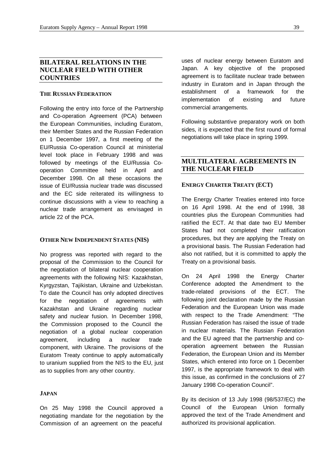# **BILATERAL RELATIONS IN THE NUCLEAR FIELD WITH OTHER COUNTRIES**

#### **THE RUSSIAN FEDERATION**

Following the entry into force of the Partnership and Co-operation Agreement (PCA) between the European Communities, including Euratom, their Member States and the Russian Federation on 1 December 1997, a first meeting of the EU/Russia Co-operation Council at ministerial level took place in February 1998 and was followed by meetings of the EU/Russia Cooperation Committee held in April and December 1998. On all these occasions the issue of EU/Russia nuclear trade was discussed and the EC side reiterated its willingness to continue discussions with a view to reaching a nuclear trade arrangement as envisaged in article 22 of the PCA.

#### **OTHER NEW INDEPENDENT STATES (NIS)**

No progress was reported with regard to the proposal of the Commission to the Council for the negotiation of bilateral nuclear cooperation agreements with the following NIS: Kazakhstan, Kyrgyzstan, Tajikistan, Ukraine and Uzbekistan. To date the Council has only adopted directives for the negotiation of agreements with Kazakhstan and Ukraine regarding nuclear safety and nuclear fusion. In December 1998, the Commission proposed to the Council the negotiation of a global nuclear cooperation agreement, including a nuclear trade component, with Ukraine. The provisions of the Euratom Treaty continue to apply automatically to uranium supplied from the NIS to the EU, just as to supplies from any other country.

#### **JAPAN**

On 25 May 1998 the Council approved a negotiating mandate for the negotiation by the Commission of an agreement on the peaceful

uses of nuclear energy between Euratom and Japan. A key objective of the proposed agreement is to facilitate nuclear trade between industry in Euratom and in Japan through the establishment of a framework for the implementation of existing and future commercial arrangements.

Following substantive preparatory work on both sides, it is expected that the first round of formal negotiations will take place in spring 1999.

# **MULTILATERAL AGREEMENTS IN THE NUCLEAR FIELD**

#### **ENERGY CHARTER TREATY (ECT)**

The Energy Charter Treaties entered into force on 16 April 1998. At the end of 1998, 38 countries plus the European Communities had ratified the ECT. At that date two EU Member States had not completed their ratification procedures, but they are applying the Treaty on a provisional basis. The Russian Federation had also not ratified, but it is committed to apply the Treaty on a provisional basis.

On 24 April 1998 the Energy Charter Conference adopted the Amendment to the trade-related provisions of the ECT. The following joint declaration made by the Russian Federation and the European Union was made with respect to the Trade Amendment: "The Russian Federation has raised the issue of trade in nuclear materials. The Russian Federation and the EU agreed that the partnership and cooperation agreement between the Russian Federation, the European Union and its Member States, which entered into force on 1 December 1997, is the appropriate framework to deal with this issue, as confirmed in the conclusions of 27 January 1998 Co-operation Council".

By its decision of 13 July 1998 (98/537/EC) the Council of the European Union formally approved the text of the Trade Amendment and authorized its provisional application.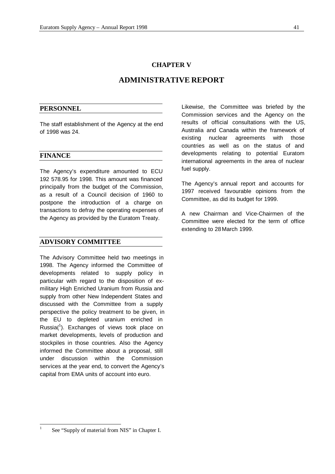#### **CHAPTER V**

# **ADMINISTRATIVE REPORT**

## **PERSONNEL**

The staff establishment of the Agency at the end of 1998 was 24.

# **FINANCE**

The Agency's expenditure amounted to ECU 192 578.95 for 1998. This amount was financed principally from the budget of the Commission, as a result of a Council decision of 1960 to postpone the introduction of a charge on transactions to defray the operating expenses of the Agency as provided by the Euratom Treaty.

#### **ADVISORY COMMITTEE**

The Advisory Committee held two meetings in 1998. The Agency informed the Committee of developments related to supply policy in particular with regard to the disposition of exmilitary High Enriched Uranium from Russia and supply from other New Independent States and discussed with the Committee from a supply perspective the policy treatment to be given, in the EU to depleted uranium enriched in Russia $(^{1})$ . Exchanges of views took place on market developments, levels of production and stockpiles in those countries. Also the Agency informed the Committee about a proposal, still under discussion within the Commission services at the year end, to convert the Agency's capital from EMA units of account into euro.

Likewise, the Committee was briefed by the Commission services and the Agency on the results of official consultations with the US, Australia and Canada within the framework of existing nuclear agreements with those countries as well as on the status of and developments relating to potential Euratom international agreements in the area of nuclear fuel supply.

The Agency's annual report and accounts for 1997 received favourable opinions from the Committee, as did its budget for 1999.

A new Chairman and Vice-Chairmen of the Committee were elected for the term of office extending to 28 March 1999.

-

<sup>1</sup> See "Supply of material from NIS" in Chapter I.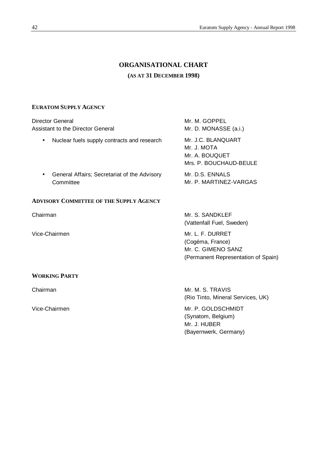# **ORGANISATIONAL CHART (AS AT 31 DECEMBER 1998)**

### **EURATOM SUPPLY AGENCY**

| Director General<br>Assistant to the Director General |                                                           | Mr. M. GOPPEL<br>Mr. D. MONASSE (a.i.)                                                            |  |
|-------------------------------------------------------|-----------------------------------------------------------|---------------------------------------------------------------------------------------------------|--|
| $\bullet$                                             | Nuclear fuels supply contracts and research               | Mr. J.C. BLANQUART<br>Mr. J. MOTA<br>Mr. A. BOUQUET<br>Mrs. P. BOUCHAUD-BEULE                     |  |
| $\bullet$                                             | General Affairs; Secretariat of the Advisory<br>Committee | Mr. D.S. ENNALS<br>Mr. P. MARTINEZ-VARGAS                                                         |  |
|                                                       | <b>ADVISORY COMMITTEE OF THE SUPPLY AGENCY</b>            |                                                                                                   |  |
| Chairman                                              |                                                           | Mr. S. SANDKLEF<br>(Vattenfall Fuel, Sweden)                                                      |  |
|                                                       | Vice-Chairmen                                             | Mr. L. F. DURRET<br>(Cogéma, France)<br>Mr. C. GIMENO SANZ<br>(Permanent Representation of Spain) |  |
|                                                       | <b>WORKING PARTY</b>                                      |                                                                                                   |  |
| Chairman                                              |                                                           | Mr. M. S. TRAVIS<br>(Rio Tinto, Mineral Services, UK)                                             |  |
| Vice-Chairmen                                         |                                                           | Mr. P. GOLDSCHMIDT<br>(Synatom, Belgium)<br>Mr. J. HUBER<br>(Bayernwerk, Germany)                 |  |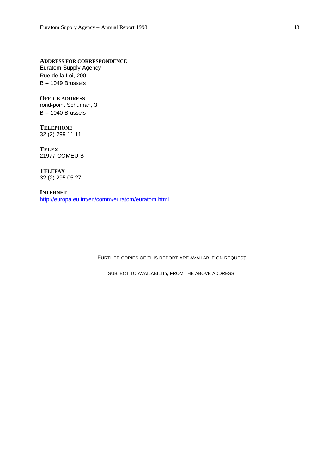**ADDRESS FOR CORRESPONDENCE** Euratom Supply Agency

Rue de la Loi, 200 B – 1049 Brussels

**OFFICE ADDRESS** rond-point Schuman, 3 B – 1040 Brussels

**TELEPHONE** 32 (2) 299.11.11

**TELEX** 21977 COMEU B

**TELEFAX** 32 (2) 295.05.27

**INTERNET** http://europa.eu.int/en/comm/euratom/euratom.html

FURTHER COPIES OF THIS REPORT ARE AVAILABLE ON REQUEST,

SUBJECT TO AVAILABILITY, FROM THE ABOVE ADDRESS.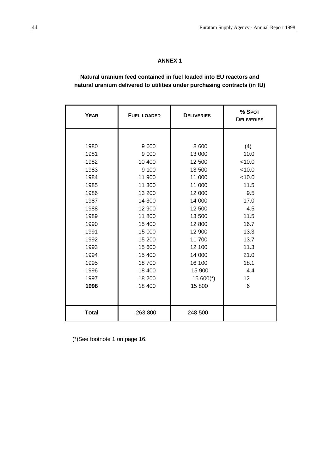# **ANNEX 1**

# **Natural uranium feed contained in fuel loaded into EU reactors and natural uranium delivered to utilities under purchasing contracts (in tU)**

| <b>YEAR</b>  | <b>FUEL LOADED</b> | <b>DELIVERIES</b> | % SPOT<br><b>DELIVERIES</b> |
|--------------|--------------------|-------------------|-----------------------------|
|              |                    |                   |                             |
| 1980         | 9600               | 8 600             | (4)                         |
| 1981         | 9 0 0 0            | 13 000            | 10.0                        |
| 1982         | 10 400             | 12 500            | < 10.0                      |
| 1983         | 9 100              | 13 500            | < 10.0                      |
| 1984         | 11 900             | 11 000            | < 10.0                      |
| 1985         | 11 300             | 11 000            | 11.5                        |
| 1986         | 13 200             | 12 000            | 9.5                         |
| 1987         | 14 300             | 14 000            | 17.0                        |
| 1988         | 12 900             | 12 500            | 4.5                         |
| 1989         | 11 800             | 13 500            | 11.5                        |
| 1990         | 15 400             | 12 800            | 16.7                        |
| 1991         | 15 000             | 12 900            | 13.3                        |
| 1992         | 15 200             | 11 700            | 13.7                        |
| 1993         | 15 600             | 12 100            | 11.3                        |
| 1994         | 15 400             | 14 000            | 21.0                        |
| 1995         | 18700              | 16 100            | 18.1                        |
| 1996         | 18 400             | 15 900            | 4.4                         |
| 1997         | 18 200             | $15600(*)$        | 12                          |
| 1998         | 18 400             | 15 800            | 6                           |
|              |                    |                   |                             |
| <b>Total</b> | 263 800            | 248 500           |                             |

(\*)See footnote 1 on page 16.